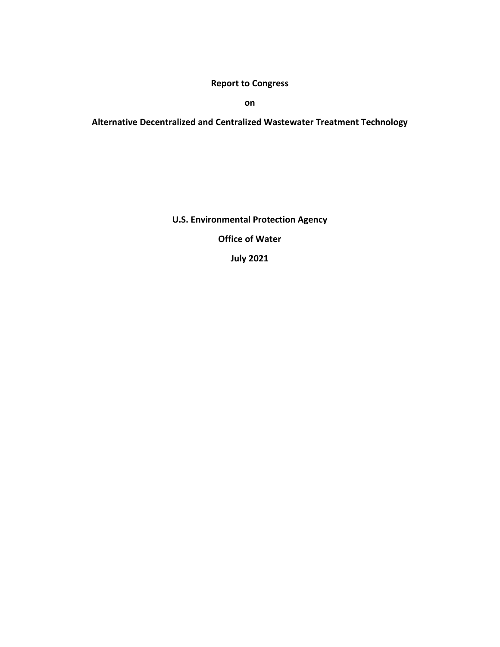**Report to Congress**

**on**

**Alternative Decentralized and Centralized Wastewater Treatment Technology**

**U.S. Environmental Protection Agency**

**Office of Water** 

**July 2021**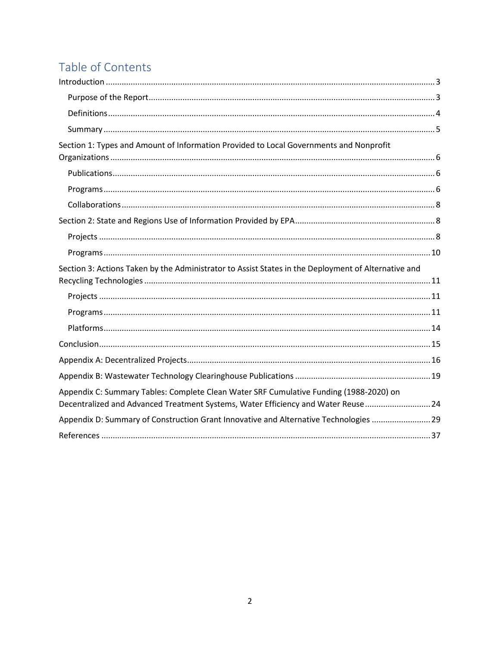# Table of Contents

| Section 1: Types and Amount of Information Provided to Local Governments and Nonprofit                                                                                       |
|------------------------------------------------------------------------------------------------------------------------------------------------------------------------------|
|                                                                                                                                                                              |
|                                                                                                                                                                              |
|                                                                                                                                                                              |
|                                                                                                                                                                              |
|                                                                                                                                                                              |
|                                                                                                                                                                              |
| Section 3: Actions Taken by the Administrator to Assist States in the Deployment of Alternative and                                                                          |
|                                                                                                                                                                              |
|                                                                                                                                                                              |
|                                                                                                                                                                              |
|                                                                                                                                                                              |
|                                                                                                                                                                              |
|                                                                                                                                                                              |
|                                                                                                                                                                              |
| Appendix C: Summary Tables: Complete Clean Water SRF Cumulative Funding (1988-2020) on<br>Decentralized and Advanced Treatment Systems, Water Efficiency and Water Reuse  24 |
| Appendix D: Summary of Construction Grant Innovative and Alternative Technologies  29                                                                                        |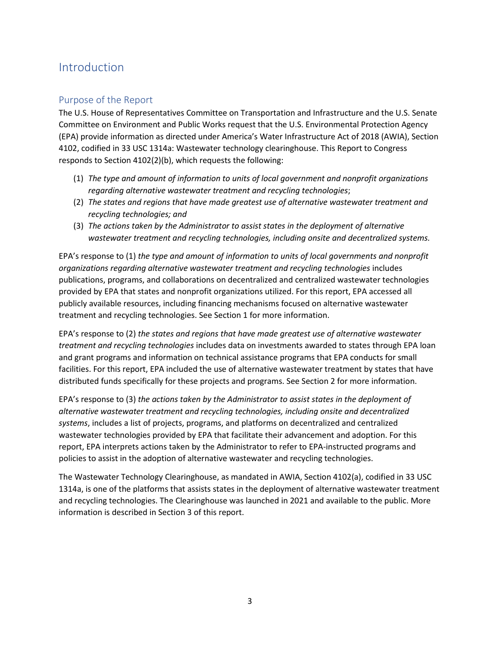# <span id="page-2-0"></span>Introduction

# <span id="page-2-1"></span>Purpose of the Report

The U.S. House of Representatives Committee on Transportation and Infrastructure and the U.S. Senate Committee on Environment and Public Works request that the U.S. Environmental Protection Agency (EPA) provide information as directed under America's Water Infrastructure Act of 2018 (AWIA), Section 4102, codified in 33 USC 1314a: Wastewater technology clearinghouse. This Report to Congress responds to Section 4102(2)(b), which requests the following:

- (1) *The type and amount of information to units of local government and nonprofit organizations regarding alternative wastewater treatment and recycling technologies*;
- (2) *The states and regions that have made greatest use of alternative wastewater treatment and recycling technologies; and*
- (3) *The actions taken by the Administrator to assist states in the deployment of alternative wastewater treatment and recycling technologies, including onsite and decentralized systems.*

EPA's response to (1) *the type and amount of information to units of local governments and nonprofit organizations regarding alternative wastewater treatment and recycling technologies* includes publications, programs, and collaborations on decentralized and centralized wastewater technologies provided by EPA that states and nonprofit organizations utilized. For this report, EPA accessed all publicly available resources, including financing mechanisms focused on alternative wastewater treatment and recycling technologies. See Section 1 for more information.

EPA's response to (2) *the states and regions that have made greatest use of alternative wastewater treatment and recycling technologies* includes data on investments awarded to states through EPA loan and grant programs and information on technical assistance programs that EPA conducts for small facilities. For this report, EPA included the use of alternative wastewater treatment by states that have distributed funds specifically for these projects and programs. See Section 2 for more information.

EPA's response to (3) *the actions taken by the Administrator to assist states in the deployment of alternative wastewater treatment and recycling technologies, including onsite and decentralized systems*, includes a list of projects, programs, and platforms on decentralized and centralized wastewater technologies provided by EPA that facilitate their advancement and adoption. For this report, EPA interprets actions taken by the Administrator to refer to EPA-instructed programs and policies to assist in the adoption of alternative wastewater and recycling technologies.

The Wastewater Technology Clearinghouse, as mandated in AWIA, Section 4102(a), codified in 33 USC 1314a, is one of the platforms that assists states in the deployment of alternative wastewater treatment and recycling technologies. The Clearinghouse was launched in 2021 and available to the public. More information is described in Section 3 of this report.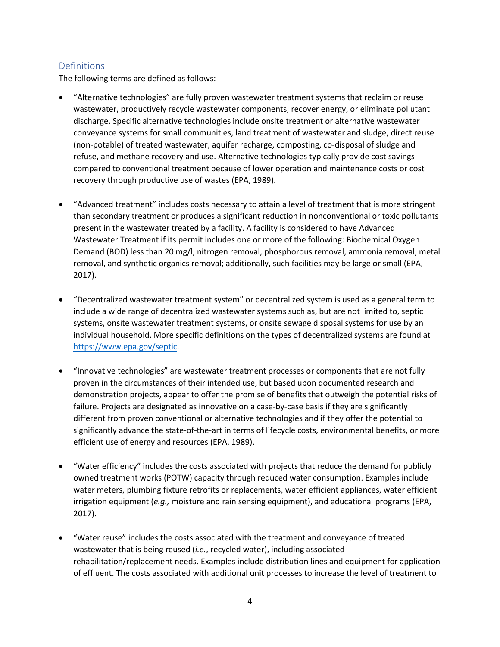# <span id="page-3-0"></span>**Definitions**

The following terms are defined as follows:

- "Alternative technologies" are fully proven wastewater treatment systems that reclaim or reuse wastewater, productively recycle wastewater components, recover energy, or eliminate pollutant discharge. Specific alternative technologies include onsite treatment or alternative wastewater conveyance systems for small communities, land treatment of wastewater and sludge, direct reuse (non-potable) of treated wastewater, aquifer recharge, composting, co-disposal of sludge and refuse, and methane recovery and use. Alternative technologies typically provide cost savings compared to conventional treatment because of lower operation and maintenance costs or cost recovery through productive use of wastes (EPA, 1989).
- "Advanced treatment" includes costs necessary to attain a level of treatment that is more stringent than secondary treatment or produces a significant reduction in nonconventional or toxic pollutants present in the wastewater treated by a facility. A facility is considered to have Advanced Wastewater Treatment if its permit includes one or more of the following: Biochemical Oxygen Demand (BOD) less than 20 mg/l, nitrogen removal, phosphorous removal, ammonia removal, metal removal, and synthetic organics removal; additionally, such facilities may be large or small (EPA, 2017).
- "Decentralized wastewater treatment system" or decentralized system is used as a general term to include a wide range of decentralized wastewater systems such as, but are not limited to, septic systems, onsite wastewater treatment systems, or onsite sewage disposal systems for use by an individual household. More specific definitions on the types of decentralized systems are found at [https://www.epa.gov/septic.](https://www.epa.gov/septic)
- "Innovative technologies" are wastewater treatment processes or components that are not fully proven in the circumstances of their intended use, but based upon documented research and demonstration projects, appear to offer the promise of benefits that outweigh the potential risks of failure. Projects are designated as innovative on a case-by-case basis if they are significantly different from proven conventional or alternative technologies and if they offer the potential to significantly advance the state-of-the-art in terms of lifecycle costs, environmental benefits, or more efficient use of energy and resources (EPA, 1989).
- "Water efficiency" includes the costs associated with projects that reduce the demand for publicly owned treatment works (POTW) capacity through reduced water consumption. Examples include water meters, plumbing fixture retrofits or replacements, water efficient appliances, water efficient irrigation equipment (*e.g.,* moisture and rain sensing equipment), and educational programs (EPA, 2017).
- "Water reuse" includes the costs associated with the treatment and conveyance of treated wastewater that is being reused (*i.e.*, recycled water), including associated rehabilitation/replacement needs. Examples include distribution lines and equipment for application of effluent. The costs associated with additional unit processes to increase the level of treatment to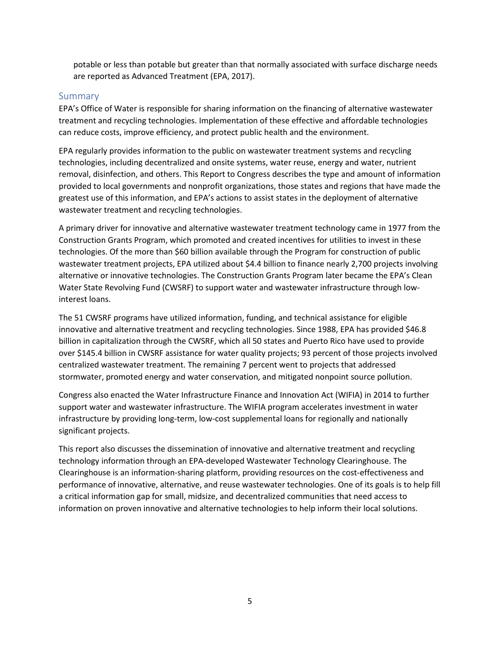potable or less than potable but greater than that normally associated with surface discharge needs are reported as Advanced Treatment (EPA, 2017).

#### <span id="page-4-0"></span>Summary

EPA's Office of Water is responsible for sharing information on the financing of alternative wastewater treatment and recycling technologies. Implementation of these effective and affordable technologies can reduce costs, improve efficiency, and protect public health and the environment.

EPA regularly provides information to the public on wastewater treatment systems and recycling technologies, including decentralized and onsite systems, water reuse, energy and water, nutrient removal, disinfection, and others. This Report to Congress describes the type and amount of information provided to local governments and nonprofit organizations, those states and regions that have made the greatest use of this information, and EPA's actions to assist states in the deployment of alternative wastewater treatment and recycling technologies.

A primary driver for innovative and alternative wastewater treatment technology came in 1977 from the Construction Grants Program, which promoted and created incentives for utilities to invest in these technologies. Of the more than \$60 billion available through the Program for construction of public wastewater treatment projects, EPA utilized about \$4.4 billion to finance nearly 2,700 projects involving alternative or innovative technologies. The Construction Grants Program later became the EPA's Clean Water State Revolving Fund (CWSRF) to support water and wastewater infrastructure through lowinterest loans.

The 51 CWSRF programs have utilized information, funding, and technical assistance for eligible innovative and alternative treatment and recycling technologies. Since 1988, EPA has provided \$46.8 billion in capitalization through the CWSRF, which all 50 states and Puerto Rico have used to provide over \$145.4 billion in CWSRF assistance for water quality projects; 93 percent of those projects involved centralized wastewater treatment. The remaining 7 percent went to projects that addressed stormwater, promoted energy and water conservation, and mitigated nonpoint source pollution.

Congress also enacted the Water Infrastructure Finance and Innovation Act (WIFIA) in 2014 to further support water and wastewater infrastructure. The WIFIA program accelerates investment in water infrastructure by providing long-term, low-cost supplemental loans for regionally and nationally significant projects.

This report also discusses the dissemination of innovative and alternative treatment and recycling technology information through an EPA-developed Wastewater Technology Clearinghouse. The Clearinghouse is an information-sharing platform, providing resources on the cost-effectiveness and performance of innovative, alternative, and reuse wastewater technologies. One of its goals is to help fill a critical information gap for small, midsize, and decentralized communities that need access to information on proven innovative and alternative technologies to help inform their local solutions.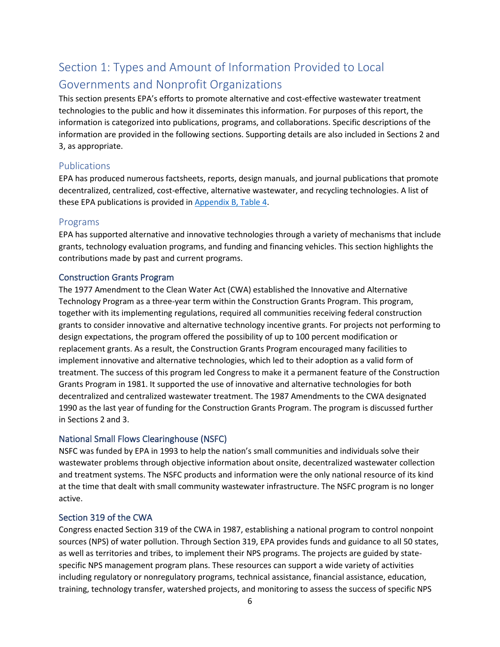# <span id="page-5-0"></span>Section 1: Types and Amount of Information Provided to Local Governments and Nonprofit Organizations

This section presents EPA's efforts to promote alternative and cost-effective wastewater treatment technologies to the public and how it disseminates this information. For purposes of this report, the information is categorized into publications, programs, and collaborations. Specific descriptions of the information are provided in the following sections. Supporting details are also included in Sections 2 and 3, as appropriate.

## <span id="page-5-1"></span>Publications

EPA has produced numerous factsheets, reports, design manuals, and journal publications that promote decentralized, centralized, cost-effective, alternative wastewater, and recycling technologies. A list of these EPA publications is provided i[n Appendix B, Table 4.](#page-18-1)

# <span id="page-5-2"></span>Programs

EPA has supported alternative and innovative technologies through a variety of mechanisms that include grants, technology evaluation programs, and funding and financing vehicles. This section highlights the contributions made by past and current programs.

## Construction Grants Program

The 1977 Amendment to the Clean Water Act (CWA) established the Innovative and Alternative Technology Program as a three-year term within the Construction Grants Program. This program, together with its implementing regulations, required all communities receiving federal construction grants to consider innovative and alternative technology incentive grants. For projects not performing to design expectations, the program offered the possibility of up to 100 percent modification or replacement grants. As a result, the Construction Grants Program encouraged many facilities to implement innovative and alternative technologies, which led to their adoption as a valid form of treatment. The success of this program led Congress to make it a permanent feature of the Construction Grants Program in 1981. It supported the use of innovative and alternative technologies for both decentralized and centralized wastewater treatment. The 1987 Amendments to the CWA designated 1990 as the last year of funding for the Construction Grants Program. The program is discussed further in Sections 2 and 3.

## National Small Flows Clearinghouse (NSFC)

NSFC was funded by EPA in 1993 to help the nation's small communities and individuals solve their wastewater problems through objective information about onsite, decentralized wastewater collection and treatment systems. The NSFC products and information were the only national resource of its kind at the time that dealt with small community wastewater infrastructure. The NSFC program is no longer active.

## Section 319 of the CWA

Congress enacted Section 319 of the CWA in 1987, establishing a national program to control nonpoint sources (NPS) of water pollution. Through Section 319, EPA provides funds and guidance to all 50 states, as well as territories and tribes, to implement their NPS programs. The projects are guided by statespecific NPS management program plans. These resources can support a wide variety of activities including regulatory or nonregulatory programs, technical assistance, financial assistance, education, training, technology transfer, watershed projects, and monitoring to assess the success of specific NPS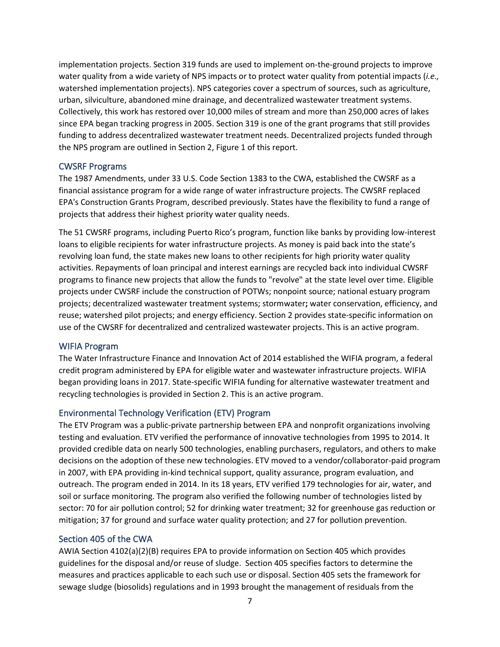implementation projects. Section 319 funds are used to implement on-the-ground projects to improve water quality from a wide variety of NPS impacts or to protect water quality from potential impacts (*i.e.,* watershed implementation projects). NPS categories cover a spectrum of sources, such as agriculture, urban, silviculture, abandoned mine drainage, and decentralized wastewater treatment systems. Collectively, this work has restored over 10,000 miles of stream and more than 250,000 acres of lakes since EPA began tracking progress in 2005. Section 319 is one of the grant programs that still provides funding to address decentralized wastewater treatment needs. Decentralized projects funded through the NPS program are outlined in Section 2, Figure 1 of this report.

#### CWSRF Programs

The 1987 Amendments, under 33 U.S. Code Section 1383 to the CWA, established the CWSRF as a financial assistance program for a wide range of water infrastructure projects. The CWSRF replaced EPA's Construction Grants Program, described previously. States have the flexibility to fund a range of projects that address their highest priority water quality needs.

The 51 CWSRF programs, including Puerto Rico's program, function like banks by providing low-interest loans to eligible recipients for water infrastructure projects. As money is paid back into the state's revolving loan fund, the state makes new loans to other recipients for high priority water quality activities. Repayments of loan principal and interest earnings are recycled back into individual CWSRF programs to finance new projects that allow the funds to "revolve" at the state level over time. Eligible projects under CWSRF include the construction of POTWs; nonpoint source; national estuary program projects; decentralized wastewater treatment systems; stormwater**;** water conservation, efficiency, and reuse; watershed pilot projects; and energy efficiency. Section 2 provides state-specific information on use of the CWSRF for decentralized and centralized wastewater projects. This is an active program.

#### WIFIA Program

The Water Infrastructure Finance and Innovation Act of 2014 established the WIFIA program, a federal credit program administered by EPA for eligible water and wastewater infrastructure projects. WIFIA began providing loans in 2017. State-specific WIFIA funding for alternative wastewater treatment and recycling technologies is provided in Section 2. This is an active program.

## Environmental Technology Verification (ETV) Program

The ETV Program was a public-private partnership between EPA and nonprofit organizations involving testing and evaluation. ETV verified the performance of innovative technologies from 1995 to 2014. It provided credible data on nearly 500 technologies, enabling purchasers, regulators, and others to make decisions on the adoption of these new technologies. ETV moved to a vendor/collaborator-paid program in 2007, with EPA providing in-kind technical support, quality assurance, program evaluation, and outreach. The program ended in 2014. In its 18 years, ETV verified 179 technologies for air, water, and soil or surface monitoring. The program also verified the following number of technologies listed by sector: 70 for air pollution control; 52 for drinking water treatment; 32 for greenhouse gas reduction or mitigation; 37 for ground and surface water quality protection; and 27 for pollution prevention.

# Section 405 of the CWA

AWIA Section 4102(a)(2)(B) requires EPA to provide information on Section 405 which provides guidelines for the disposal and/or reuse of sludge. Section 405 specifies factors to determine the measures and practices applicable to each such use or disposal. Section 405 sets the framework for sewage sludge (biosolids) regulations and in 1993 brought the management of residuals from the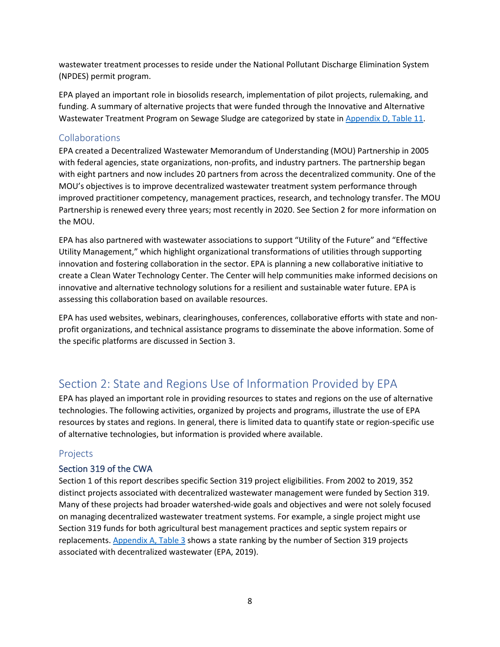wastewater treatment processes to reside under the National Pollutant Discharge Elimination System (NPDES) permit program.

EPA played an important role in biosolids research, implementation of pilot projects, rulemaking, and funding. A summary of alternative projects that were funded through the Innovative and Alternative Wastewater Treatment Program on Sewage Sludge are categorized by state i[n Appendix D, Table 11.](#page-32-0)

## <span id="page-7-0"></span>Collaborations

EPA created a Decentralized Wastewater Memorandum of Understanding (MOU) Partnership in 2005 with federal agencies, state organizations, non-profits, and industry partners. The partnership began with eight partners and now includes 20 partners from across the decentralized community. One of the MOU's objectives is to improve decentralized wastewater treatment system performance through improved practitioner competency, management practices, research, and technology transfer. The MOU Partnership is renewed every three years; most recently in 2020. See Section 2 for more information on the MOU.

EPA has also partnered with wastewater associations to support "Utility of the Future" and "Effective Utility Management," which highlight organizational transformations of utilities through supporting innovation and fostering collaboration in the sector. EPA is planning a new collaborative initiative to create a Clean Water Technology Center. The Center will help communities make informed decisions on innovative and alternative technology solutions for a resilient and sustainable water future. EPA is assessing this collaboration based on available resources.

EPA has used websites, webinars, clearinghouses, conferences, collaborative efforts with state and nonprofit organizations, and technical assistance programs to disseminate the above information. Some of the specific platforms are discussed in Section 3.

# <span id="page-7-1"></span>Section 2: State and Regions Use of Information Provided by EPA

EPA has played an important role in providing resources to states and regions on the use of alternative technologies. The following activities, organized by projects and programs, illustrate the use of EPA resources by states and regions. In general, there is limited data to quantify state or region-specific use of alternative technologies, but information is provided where available.

# <span id="page-7-2"></span>Projects

## Section 319 of the CWA

Section 1 of this report describes specific Section 319 project eligibilities. From 2002 to 2019, 352 distinct projects associated with decentralized wastewater management were funded by Section 319. Many of these projects had broader watershed-wide goals and objectives and were not solely focused on managing decentralized wastewater treatment systems. For example, a single project might use Section 319 funds for both agricultural best management practices and septic system repairs or replacements. [Appendix A,](#page-16-0) Table 3 shows a state ranking by the number of Section 319 projects associated with decentralized wastewater (EPA, 2019).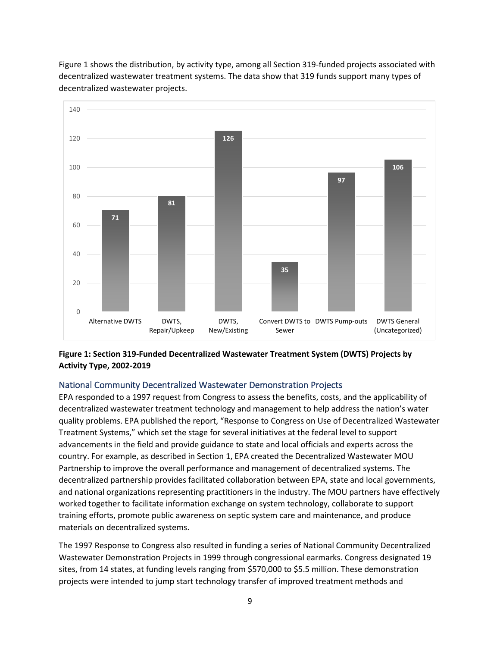

Figure 1 shows the distribution, by activity type, among all Section 319-funded projects associated with decentralized wastewater treatment systems. The data show that 319 funds support many types of decentralized wastewater projects.

# **Figure 1: Section 319-Funded Decentralized Wastewater Treatment System (DWTS) Projects by Activity Type, 2002-2019**

DWTS, New/Existing **35**

Sewer

Convert DWTS to DWTS Pump-outs DWTS General

(Uncategorized)

## National Community Decentralized Wastewater Demonstration Projects

**71**

Alternative DWTS. DWTS.

 $\Omega$ 

20

40

 $60$ 

80

**81**

Repair/Upkeep

EPA responded to a 1997 request from Congress to assess the benefits, costs, and the applicability of decentralized wastewater treatment technology and management to help address the nation's water quality problems. EPA published the report, "Response to Congress on Use of Decentralized Wastewater Treatment Systems," which set the stage for several initiatives at the federal level to support advancements in the field and provide guidance to state and local officials and experts across the country. For example, as described in Section 1, EPA created the Decentralized Wastewater MOU Partnership to improve the overall performance and management of decentralized systems. The decentralized partnership provides facilitated collaboration between EPA, state and local governments, and national organizations representing practitioners in the industry. The MOU partners have effectively worked together to facilitate information exchange on system technology, collaborate to support training efforts, promote public awareness on septic system care and maintenance, and produce materials on decentralized systems.

The 1997 Response to Congress also resulted in funding a series of National Community Decentralized Wastewater Demonstration Projects in 1999 through congressional earmarks. Congress designated 19 sites, from 14 states, at funding levels ranging from \$570,000 to \$5.5 million. These demonstration projects were intended to jump start technology transfer of improved treatment methods and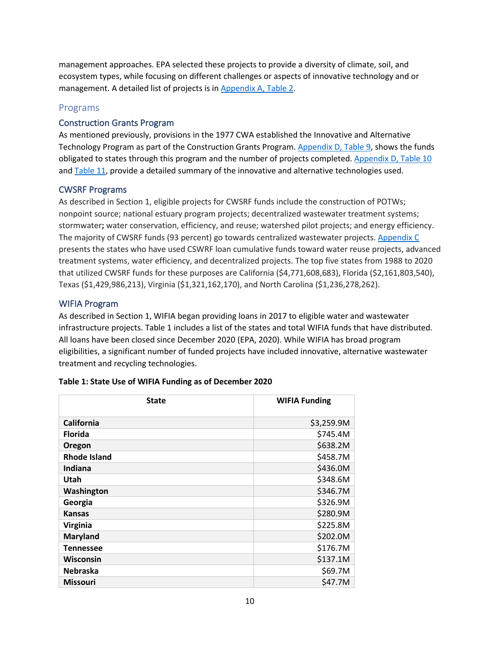management approaches. EPA selected these projects to provide a diversity of climate, soil, and ecosystem types, while focusing on different challenges or aspects of innovative technology and or management. A detailed list of projects is i[n Appendix A, Table 2.](#page-15-1)

# <span id="page-9-0"></span>Programs

## Construction Grants Program

As mentioned previously, provisions in the 1977 CWA established the Innovative and Alternative Technology Program as part of the Construction Grants Program. [Appendix D, Table 9,](#page-28-1) shows the funds obligated to states through this program and the number of projects completed. [Appendix D, Table 10](#page-30-0) and [Table 11,](#page-32-0) provide a detailed summary of the innovative and alternative technologies used.

#### CWSRF Programs

As described in Section 1, eligible projects for CWSRF funds include the construction of POTWs; nonpoint source; national estuary program projects; decentralized wastewater treatment systems; stormwater**;** water conservation, efficiency, and reuse; watershed pilot projects; and energy efficiency. The majority of CWSRF funds (93 percent) go towards centralized wastewater projects. [Appendix C](#page-23-0) presents the states who have used CSWRF loan cumulative funds toward water reuse projects, advanced treatment systems, water efficiency, and decentralized projects. The top five states from 1988 to 2020 that utilized CWSRF funds for these purposes are California (\$4,771,608,683), Florida (\$2,161,803,540), Texas (\$1,429,986,213), Virginia (\$1,321,162,170), and North Carolina (\$1,236,278,262).

#### WIFIA Program

As described in Section 1, WIFIA began providing loans in 2017 to eligible water and wastewater infrastructure projects. Table 1 includes a list of the states and total WIFIA funds that have distributed. All loans have been closed since December 2020 (EPA, 2020). While WIFIA has broad program eligibilities, a significant number of funded projects have included innovative, alternative wastewater treatment and recycling technologies.

| <b>State</b>        | <b>WIFIA Funding</b> |
|---------------------|----------------------|
| California          | \$3,259.9M           |
| <b>Florida</b>      | \$745.4M             |
| Oregon              | \$638.2M             |
| <b>Rhode Island</b> | \$458.7M             |
| Indiana             | \$436.0M             |
| Utah                | \$348.6M             |
| Washington          | \$346.7M             |
| Georgia             | \$326.9M             |
| <b>Kansas</b>       | \$280.9M             |
| <b>Virginia</b>     | \$225.8M             |
| <b>Maryland</b>     | \$202.0M             |
| Tennessee           | \$176.7M             |
| Wisconsin           | \$137.1M             |
| <b>Nebraska</b>     | \$69.7M              |
| <b>Missouri</b>     | \$47.7M              |

#### **Table 1: State Use of WIFIA Funding as of December 2020**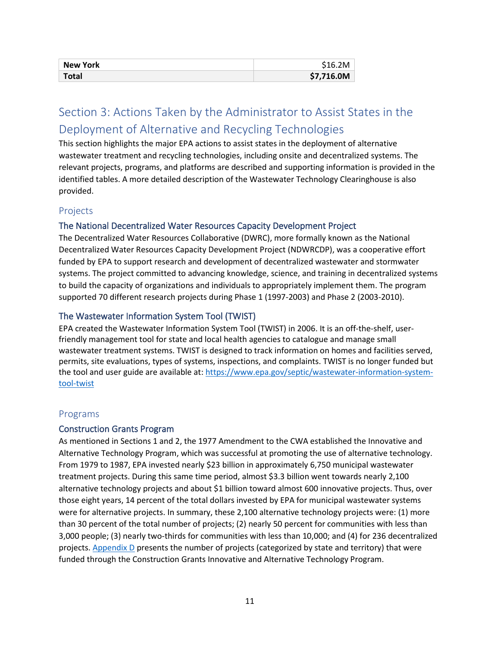| <b>New York</b> | \$16.2M    |
|-----------------|------------|
| Total           | \$7,716.0M |

# <span id="page-10-0"></span>Section 3: Actions Taken by the Administrator to Assist States in the Deployment of Alternative and Recycling Technologies

This section highlights the major EPA actions to assist states in the deployment of alternative wastewater treatment and recycling technologies, including onsite and decentralized systems. The relevant projects, programs, and platforms are described and supporting information is provided in the identified tables. A more detailed description of the Wastewater Technology Clearinghouse is also provided.

# <span id="page-10-1"></span>Projects

## The National Decentralized Water Resources Capacity Development Project

The Decentralized Water Resources Collaborative (DWRC), more formally known as the National Decentralized Water Resources Capacity Development Project (NDWRCDP), was a cooperative effort funded by EPA to support research and development of decentralized wastewater and stormwater systems. The project committed to advancing knowledge, science, and training in decentralized systems to build the capacity of organizations and individuals to appropriately implement them. The program supported 70 different research projects during Phase 1 (1997-2003) and Phase 2 (2003-2010).

## The Wastewater Information System Tool (TWIST)

EPA created the Wastewater Information System Tool (TWIST) in 2006. It is an off-the-shelf, userfriendly management tool for state and local health agencies to catalogue and manage small wastewater treatment systems. TWIST is designed to track information on homes and facilities served, permits, site evaluations, types of systems, inspections, and complaints. TWIST is no longer funded but the tool and user guide are available at: [https://www.epa.gov/septic/wastewater-information-system](https://www.epa.gov/septic/wastewater-information-system-tool-twist)[tool-twist](https://www.epa.gov/septic/wastewater-information-system-tool-twist)

## <span id="page-10-2"></span>Programs

#### Construction Grants Program

As mentioned in Sections 1 and 2, the 1977 Amendment to the CWA established the Innovative and Alternative Technology Program, which was successful at promoting the use of alternative technology. From 1979 to 1987, EPA invested nearly \$23 billion in approximately 6,750 municipal wastewater treatment projects. During this same time period, almost \$3.3 billion went towards nearly 2,100 alternative technology projects and about \$1 billion toward almost 600 innovative projects. Thus, over those eight years, 14 percent of the total dollars invested by EPA for municipal wastewater systems were for alternative projects. In summary, these 2,100 alternative technology projects were: (1) more than 30 percent of the total number of projects; (2) nearly 50 percent for communities with less than 3,000 people; (3) nearly two-thirds for communities with less than 10,000; and (4) for 236 decentralized projects[. Appendix D](#page-28-0) presents the number of projects (categorized by state and territory) that were funded through the Construction Grants Innovative and Alternative Technology Program.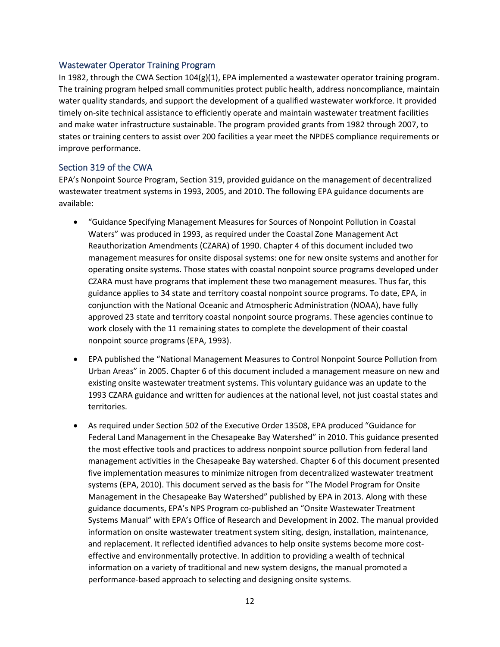#### Wastewater Operator Training Program

In 1982, through the CWA Section 104(g)(1), EPA implemented a wastewater operator training program. The training program helped small communities protect public health, address noncompliance, maintain water quality standards, and support the development of a qualified wastewater workforce. It provided timely on-site technical assistance to efficiently operate and maintain wastewater treatment facilities and make water infrastructure sustainable. The program provided grants from 1982 through 2007, to states or training centers to assist over 200 facilities a year meet the NPDES compliance requirements or improve performance.

# Section 319 of the CWA

EPA's Nonpoint Source Program, Section 319, provided guidance on the management of decentralized wastewater treatment systems in 1993, 2005, and 2010. The following EPA guidance documents are available:

- "Guidance Specifying Management Measures for Sources of Nonpoint Pollution in Coastal Waters" was produced in 1993, as required under the Coastal Zone Management Act Reauthorization Amendments (CZARA) of 1990. Chapter 4 of this document included two management measures for onsite disposal systems: one for new onsite systems and another for operating onsite systems. Those states with coastal nonpoint source programs developed under CZARA must have programs that implement these two management measures. Thus far, this guidance applies to 34 state and territory coastal nonpoint source programs. To date, EPA, in conjunction with the National Oceanic and Atmospheric Administration (NOAA), have fully approved 23 state and territory coastal nonpoint source programs. These agencies continue to work closely with the 11 remaining states to complete the development of their coastal nonpoint source programs (EPA, 1993).
- EPA published the "National Management Measures to Control Nonpoint Source Pollution from Urban Areas" in 2005. Chapter 6 of this document included a management measure on new and existing onsite wastewater treatment systems. This voluntary guidance was an update to the 1993 CZARA guidance and written for audiences at the national level, not just coastal states and territories.
- As required under Section 502 of the Executive Order 13508, EPA produced "Guidance for Federal Land Management in the Chesapeake Bay Watershed" in 2010. This guidance presented the most effective tools and practices to address nonpoint source pollution from federal land management activities in the Chesapeake Bay watershed. Chapter 6 of this document presented five implementation measures to minimize nitrogen from decentralized wastewater treatment systems (EPA, 2010). This document served as the basis for "The Model Program for Onsite Management in the Chesapeake Bay Watershed" published by EPA in 2013. Along with these guidance documents, EPA's NPS Program co-published an "Onsite Wastewater Treatment Systems Manual" with EPA's Office of Research and Development in 2002. The manual provided information on onsite wastewater treatment system siting, design, installation, maintenance, and replacement. It reflected identified advances to help onsite systems become more costeffective and environmentally protective. In addition to providing a wealth of technical information on a variety of traditional and new system designs, the manual promoted a performance-based approach to selecting and designing onsite systems.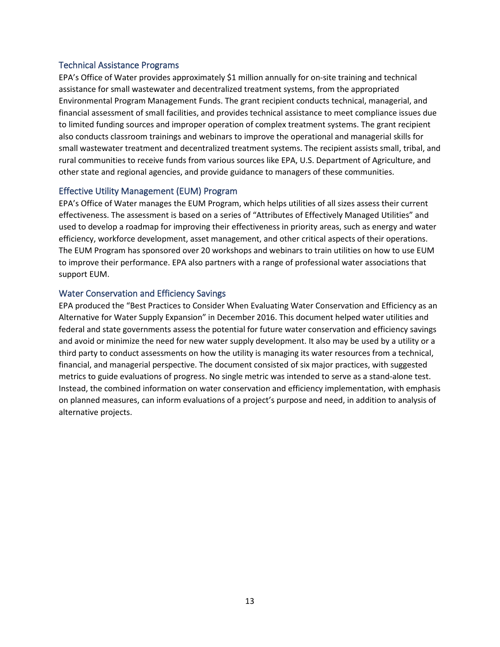#### Technical Assistance Programs

EPA's Office of Water provides approximately \$1 million annually for on-site training and technical assistance for small wastewater and decentralized treatment systems, from the appropriated Environmental Program Management Funds. The grant recipient conducts technical, managerial, and financial assessment of small facilities, and provides technical assistance to meet compliance issues due to limited funding sources and improper operation of complex treatment systems. The grant recipient also conducts classroom trainings and webinars to improve the operational and managerial skills for small wastewater treatment and decentralized treatment systems. The recipient assists small, tribal, and rural communities to receive funds from various sources like EPA, U.S. Department of Agriculture, and other state and regional agencies, and provide guidance to managers of these communities.

#### Effective Utility Management (EUM) Program

EPA's Office of Water manages the EUM Program, which helps utilities of all sizes assess their current effectiveness. The assessment is based on a series of "Attributes of Effectively Managed Utilities" and used to develop a roadmap for improving their effectiveness in priority areas, such as energy and water efficiency, workforce development, asset management, and other critical aspects of their operations. The EUM Program has sponsored over 20 workshops and webinars to train utilities on how to use EUM to improve their performance. EPA also partners with a range of professional water associations that support EUM.

#### Water Conservation and Efficiency Savings

EPA produced the "Best Practices to Consider When Evaluating Water Conservation and Efficiency as an Alternative for Water Supply Expansion" in December 2016. This document helped water utilities and federal and state governments assess the potential for future water conservation and efficiency savings and avoid or minimize the need for new water supply development. It also may be used by a utility or a third party to conduct assessments on how the utility is managing its water resources from a technical, financial, and managerial perspective. The document consisted of six major practices, with suggested metrics to guide evaluations of progress. No single metric was intended to serve as a stand-alone test. Instead, the combined information on water conservation and efficiency implementation, with emphasis on planned measures, can inform evaluations of a project's purpose and need, in addition to analysis of alternative projects.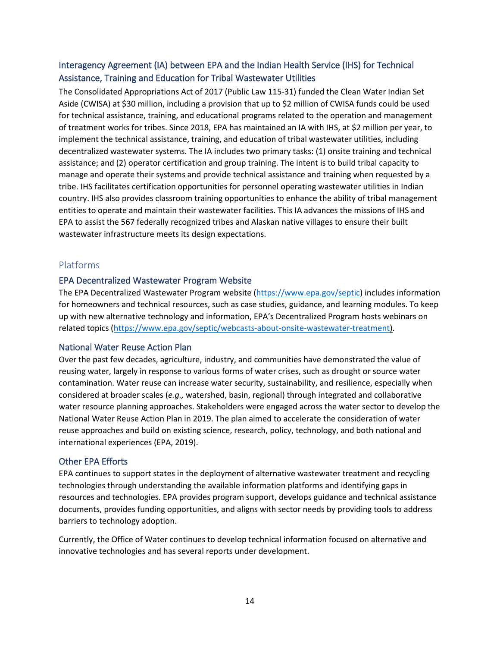# Interagency Agreement (IA) between EPA and the Indian Health Service (IHS) for Technical Assistance, Training and Education for Tribal Wastewater Utilities

The Consolidated Appropriations Act of 2017 (Public Law 115-31) funded the Clean Water Indian Set Aside (CWISA) at \$30 million, including a provision that up to \$2 million of CWISA funds could be used for technical assistance, training, and educational programs related to the operation and management of treatment works for tribes. Since 2018, EPA has maintained an IA with IHS, at \$2 million per year, to implement the technical assistance, training, and education of tribal wastewater utilities, including decentralized wastewater systems. The IA includes two primary tasks: (1) onsite training and technical assistance; and (2) operator certification and group training. The intent is to build tribal capacity to manage and operate their systems and provide technical assistance and training when requested by a tribe. IHS facilitates certification opportunities for personnel operating wastewater utilities in Indian country. IHS also provides classroom training opportunities to enhance the ability of tribal management entities to operate and maintain their wastewater facilities. This IA advances the missions of IHS and EPA to assist the 567 federally recognized tribes and Alaskan native villages to ensure their built wastewater infrastructure meets its design expectations.

# <span id="page-13-0"></span>Platforms

#### EPA Decentralized Wastewater Program Website

The EPA Decentralized Wastewater Program website [\(https://www.epa.gov/septic\)](https://www.epa.gov/septic) includes information for homeowners and technical resources, such as case studies, guidance, and learning modules. To keep up with new alternative technology and information, EPA's Decentralized Program hosts webinars on related topics [\(https://www.epa.gov/septic/webcasts-about-onsite-wastewater-treatment\)](https://www.epa.gov/septic/webcasts-about-onsite-wastewater-treatment).

#### National Water Reuse Action Plan

Over the past few decades, agriculture, industry, and communities have demonstrated the value of reusing water, largely in response to various forms of water crises, such as drought or source water contamination. Water reuse can increase water security, sustainability, and resilience, especially when considered at broader scales (*e.g.,* watershed, basin, regional) through integrated and collaborative water resource planning approaches. Stakeholders were engaged across the water sector to develop the National Water Reuse Action Plan in 2019. The plan aimed to accelerate the consideration of water reuse approaches and build on existing science, research, policy, technology, and both national and international experiences (EPA, 2019).

## Other EPA Efforts

EPA continues to support states in the deployment of alternative wastewater treatment and recycling technologies through understanding the available information platforms and identifying gaps in resources and technologies. EPA provides program support, develops guidance and technical assistance documents, provides funding opportunities, and aligns with sector needs by providing tools to address barriers to technology adoption.

Currently, the Office of Water continues to develop technical information focused on alternative and innovative technologies and has several reports under development.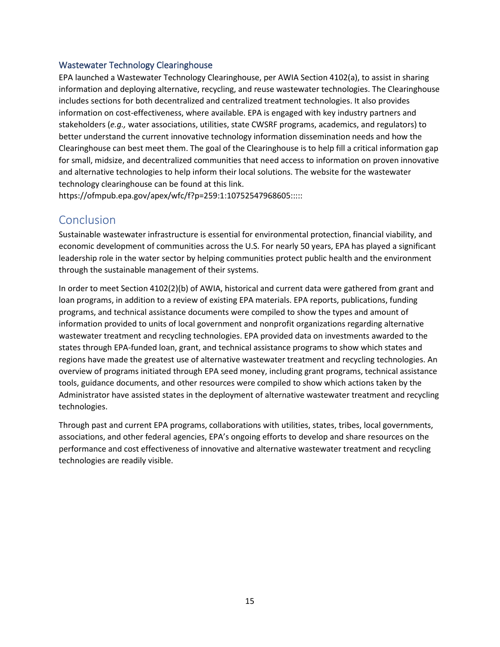#### Wastewater Technology Clearinghouse

EPA launched a Wastewater Technology Clearinghouse, per AWIA Section 4102(a), to assist in sharing information and deploying alternative, recycling, and reuse wastewater technologies. The Clearinghouse includes sections for both decentralized and centralized treatment technologies. It also provides information on cost-effectiveness, where available. EPA is engaged with key industry partners and stakeholders (*e.g.,* water associations, utilities, state CWSRF programs, academics, and regulators) to better understand the current innovative technology information dissemination needs and how the Clearinghouse can best meet them. The goal of the Clearinghouse is to help fill a critical information gap for small, midsize, and decentralized communities that need access to information on proven innovative and alternative technologies to help inform their local solutions. The website for the wastewater technology clearinghouse can be found at this link.

https://ofmpub.epa.gov/apex/wfc/f?p=259:1:10752547968605:::::

# <span id="page-14-0"></span>Conclusion

Sustainable wastewater infrastructure is essential for environmental protection, financial viability, and economic development of communities across the U.S. For nearly 50 years, EPA has played a significant leadership role in the water sector by helping communities protect public health and the environment through the sustainable management of their systems.

In order to meet Section 4102(2)(b) of AWIA, historical and current data were gathered from grant and loan programs, in addition to a review of existing EPA materials. EPA reports, publications, funding programs, and technical assistance documents were compiled to show the types and amount of information provided to units of local government and nonprofit organizations regarding alternative wastewater treatment and recycling technologies. EPA provided data on investments awarded to the states through EPA-funded loan, grant, and technical assistance programs to show which states and regions have made the greatest use of alternative wastewater treatment and recycling technologies. An overview of programs initiated through EPA seed money, including grant programs, technical assistance tools, guidance documents, and other resources were compiled to show which actions taken by the Administrator have assisted states in the deployment of alternative wastewater treatment and recycling technologies.

Through past and current EPA programs, collaborations with utilities, states, tribes, local governments, associations, and other federal agencies, EPA's ongoing efforts to develop and share resources on the performance and cost effectiveness of innovative and alternative wastewater treatment and recycling technologies are readily visible.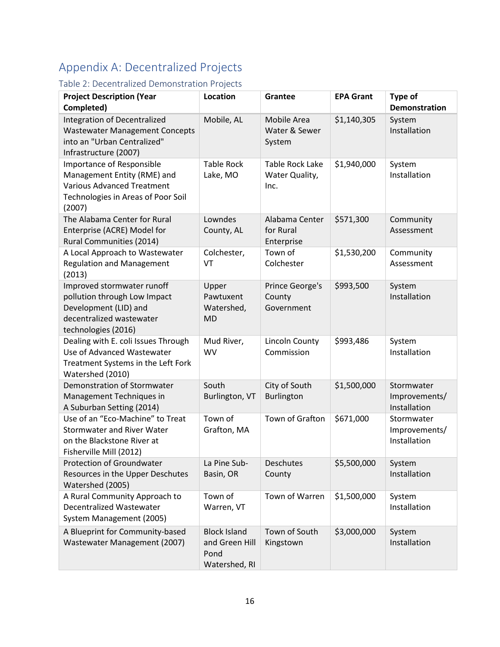# <span id="page-15-0"></span>Appendix A: Decentralized Projects

# <span id="page-15-1"></span>Table 2: Decentralized Demonstration Projects

| <b>Project Description (Year</b><br>Completed)                                                                                                | Location                                                       | Grantee                                          | <b>EPA Grant</b> | Type of<br><b>Demonstration</b>             |
|-----------------------------------------------------------------------------------------------------------------------------------------------|----------------------------------------------------------------|--------------------------------------------------|------------------|---------------------------------------------|
| <b>Integration of Decentralized</b><br><b>Wastewater Management Concepts</b><br>into an "Urban Centralized"<br>Infrastructure (2007)          | Mobile, AL                                                     | Mobile Area<br>Water & Sewer<br>System           | \$1,140,305      | System<br>Installation                      |
| Importance of Responsible<br>Management Entity (RME) and<br><b>Various Advanced Treatment</b><br>Technologies in Areas of Poor Soil<br>(2007) | <b>Table Rock</b><br>Lake, MO                                  | <b>Table Rock Lake</b><br>Water Quality,<br>Inc. | \$1,940,000      | System<br>Installation                      |
| The Alabama Center for Rural<br>Enterprise (ACRE) Model for<br>Rural Communities (2014)                                                       | Lowndes<br>County, AL                                          | Alabama Center<br>for Rural<br>Enterprise        | \$571,300        | Community<br>Assessment                     |
| A Local Approach to Wastewater<br><b>Regulation and Management</b><br>(2013)                                                                  | Colchester,<br>VT                                              | Town of<br>Colchester                            | \$1,530,200      | Community<br>Assessment                     |
| Improved stormwater runoff<br>pollution through Low Impact<br>Development (LID) and<br>decentralized wastewater<br>technologies (2016)        | Upper<br>Pawtuxent<br>Watershed,<br><b>MD</b>                  | Prince George's<br>County<br>Government          | \$993,500        | System<br>Installation                      |
| Dealing with E. coli Issues Through<br>Use of Advanced Wastewater<br>Treatment Systems in the Left Fork<br>Watershed (2010)                   | Mud River,<br><b>WV</b>                                        | Lincoln County<br>Commission                     | \$993,486        | System<br>Installation                      |
| Demonstration of Stormwater<br>Management Techniques in<br>A Suburban Setting (2014)                                                          | South<br>Burlington, VT                                        | City of South<br>Burlington                      | \$1,500,000      | Stormwater<br>Improvements/<br>Installation |
| Use of an "Eco-Machine" to Treat<br><b>Stormwater and River Water</b><br>on the Blackstone River at<br>Fisherville Mill (2012)                | Town of<br>Grafton, MA                                         | Town of Grafton                                  | \$671,000        | Stormwater<br>Improvements/<br>Installation |
| Protection of Groundwater<br>Resources in the Upper Deschutes<br>Watershed (2005)                                                             | La Pine Sub-<br>Basin, OR                                      | Deschutes<br>County                              | \$5,500,000      | System<br>Installation                      |
| A Rural Community Approach to<br><b>Decentralized Wastewater</b><br>System Management (2005)                                                  | Town of<br>Warren, VT                                          | Town of Warren                                   | \$1,500,000      | System<br>Installation                      |
| A Blueprint for Community-based<br>Wastewater Management (2007)                                                                               | <b>Block Island</b><br>and Green Hill<br>Pond<br>Watershed, RI | Town of South<br>Kingstown                       | \$3,000,000      | System<br>Installation                      |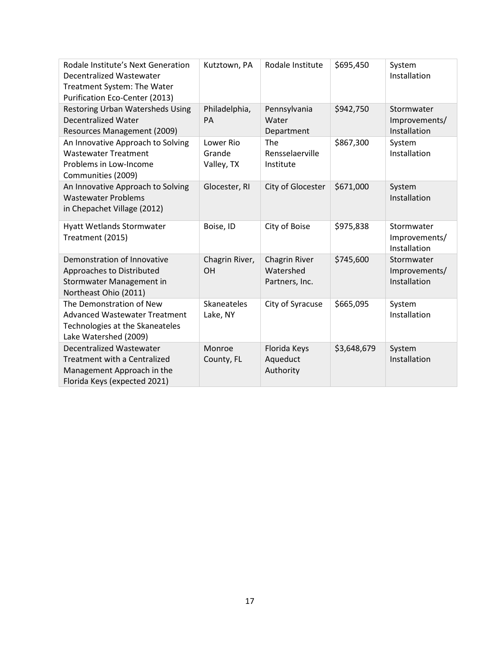<span id="page-16-0"></span>

| Rodale Institute's Next Generation<br><b>Decentralized Wastewater</b><br>Treatment System: The Water<br>Purification Eco-Center (2013) | Kutztown, PA                      | Rodale Institute                             | \$695,450   | System<br>Installation                      |
|----------------------------------------------------------------------------------------------------------------------------------------|-----------------------------------|----------------------------------------------|-------------|---------------------------------------------|
| <b>Restoring Urban Watersheds Using</b><br><b>Decentralized Water</b><br>Resources Management (2009)                                   | Philadelphia,<br>PA               | Pennsylvania<br>Water<br>Department          | \$942,750   | Stormwater<br>Improvements/<br>Installation |
| An Innovative Approach to Solving<br><b>Wastewater Treatment</b><br>Problems in Low-Income<br>Communities (2009)                       | Lower Rio<br>Grande<br>Valley, TX | The<br>Rensselaerville<br>Institute          | \$867,300   | System<br>Installation                      |
| An Innovative Approach to Solving<br><b>Wastewater Problems</b><br>in Chepachet Village (2012)                                         | Glocester, RI                     | City of Glocester                            | \$671,000   | System<br>Installation                      |
| <b>Hyatt Wetlands Stormwater</b><br>Treatment (2015)                                                                                   | Boise, ID                         | City of Boise                                | \$975,838   | Stormwater<br>Improvements/<br>Installation |
| Demonstration of Innovative<br>Approaches to Distributed<br>Stormwater Management in<br>Northeast Ohio (2011)                          | Chagrin River,<br>OH              | Chagrin River<br>Watershed<br>Partners, Inc. | \$745,600   | Stormwater<br>Improvements/<br>Installation |
| The Demonstration of New<br><b>Advanced Wastewater Treatment</b><br>Technologies at the Skaneateles<br>Lake Watershed (2009)           | Skaneateles<br>Lake, NY           | City of Syracuse                             | \$665,095   | System<br>Installation                      |
| <b>Decentralized Wastewater</b><br>Treatment with a Centralized<br>Management Approach in the<br>Florida Keys (expected 2021)          | Monroe<br>County, FL              | Florida Keys<br>Aqueduct<br>Authority        | \$3,648,679 | System<br>Installation                      |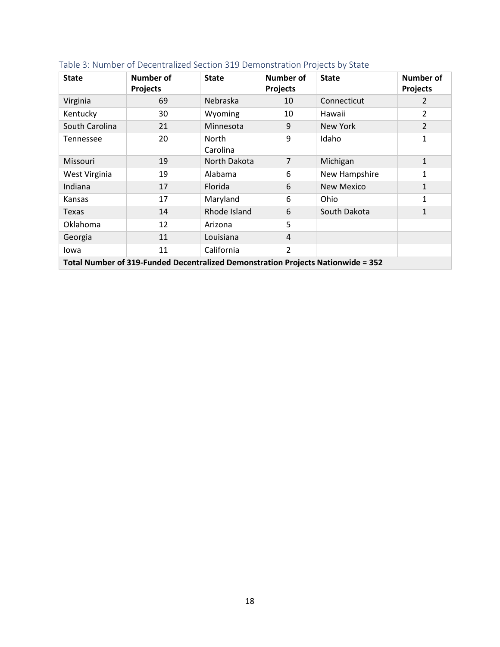| <b>State</b>                                                                     | Number of<br><b>Projects</b> | <b>State</b>      | Number of<br><b>Projects</b> | <b>State</b>      | <b>Number of</b><br><b>Projects</b> |
|----------------------------------------------------------------------------------|------------------------------|-------------------|------------------------------|-------------------|-------------------------------------|
| Virginia                                                                         | 69                           | Nebraska          | 10                           | Connecticut       | 2                                   |
| Kentucky                                                                         | 30                           | Wyoming           | 10                           | Hawaii            | 2                                   |
| South Carolina                                                                   | 21                           | Minnesota         | 9                            | New York          | $\overline{2}$                      |
| <b>Tennessee</b>                                                                 | 20                           | North<br>Carolina | 9                            | Idaho             | $\mathbf{1}$                        |
| Missouri                                                                         | 19                           | North Dakota      | $\overline{7}$               | Michigan          | $\mathbf{1}$                        |
| West Virginia                                                                    | 19                           | Alabama           | 6                            | New Hampshire     | 1                                   |
| Indiana                                                                          | 17                           | Florida           | 6                            | <b>New Mexico</b> | 1                                   |
| Kansas                                                                           | 17                           | Maryland          | 6                            | Ohio              | $\mathbf{1}$                        |
| Texas                                                                            | 14                           | Rhode Island      | 6                            | South Dakota      | $\mathbf{1}$                        |
| Oklahoma                                                                         | 12                           | Arizona           | 5                            |                   |                                     |
| Georgia                                                                          | 11                           | Louisiana         | 4                            |                   |                                     |
| lowa                                                                             | 11                           | California        | $\overline{2}$               |                   |                                     |
| Total Number of 319-Funded Decentralized Demonstration Projects Nationwide = 352 |                              |                   |                              |                   |                                     |

# Table 3: Number of Decentralized Section 319 Demonstration Projects by State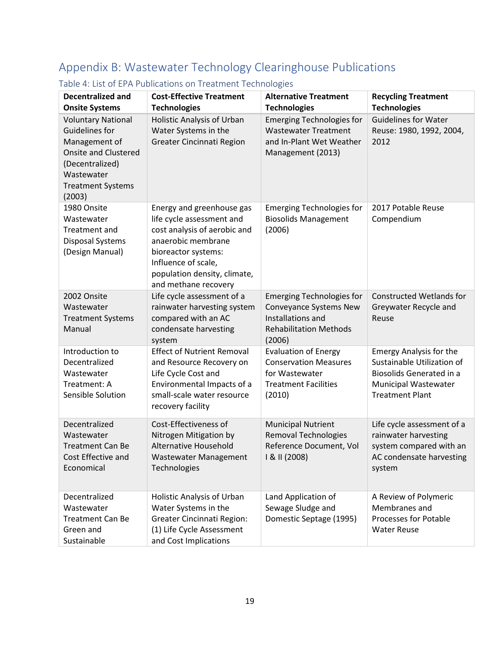# <span id="page-18-0"></span>Appendix B: Wastewater Technology Clearinghouse Publications

| <b>Decentralized and</b><br><b>Onsite Systems</b>                                                                                                                         | <b>Cost-Effective Treatment</b><br><b>Technologies</b>                                                                                                                                                             | <b>Alternative Treatment</b><br><b>Technologies</b>                                                                        | <b>Recycling Treatment</b><br><b>Technologies</b>                                                                                                        |
|---------------------------------------------------------------------------------------------------------------------------------------------------------------------------|--------------------------------------------------------------------------------------------------------------------------------------------------------------------------------------------------------------------|----------------------------------------------------------------------------------------------------------------------------|----------------------------------------------------------------------------------------------------------------------------------------------------------|
| <b>Voluntary National</b><br><b>Guidelines for</b><br>Management of<br><b>Onsite and Clustered</b><br>(Decentralized)<br>Wastewater<br><b>Treatment Systems</b><br>(2003) | Holistic Analysis of Urban<br>Water Systems in the<br>Greater Cincinnati Region                                                                                                                                    | <b>Emerging Technologies for</b><br><b>Wastewater Treatment</b><br>and In-Plant Wet Weather<br>Management (2013)           | <b>Guidelines for Water</b><br>Reuse: 1980, 1992, 2004,<br>2012                                                                                          |
| 1980 Onsite<br>Wastewater<br>Treatment and<br><b>Disposal Systems</b><br>(Design Manual)                                                                                  | Energy and greenhouse gas<br>life cycle assessment and<br>cost analysis of aerobic and<br>anaerobic membrane<br>bioreactor systems:<br>Influence of scale,<br>population density, climate,<br>and methane recovery | <b>Emerging Technologies for</b><br><b>Biosolids Management</b><br>(2006)                                                  | 2017 Potable Reuse<br>Compendium                                                                                                                         |
| 2002 Onsite<br>Wastewater<br><b>Treatment Systems</b><br>Manual                                                                                                           | Life cycle assessment of a<br>rainwater harvesting system<br>compared with an AC<br>condensate harvesting<br>system                                                                                                | <b>Emerging Technologies for</b><br>Conveyance Systems New<br>Installations and<br><b>Rehabilitation Methods</b><br>(2006) | <b>Constructed Wetlands for</b><br>Greywater Recycle and<br>Reuse                                                                                        |
| Introduction to<br>Decentralized<br>Wastewater<br>Treatment: A<br>Sensible Solution                                                                                       | <b>Effect of Nutrient Removal</b><br>and Resource Recovery on<br>Life Cycle Cost and<br>Environmental Impacts of a<br>small-scale water resource<br>recovery facility                                              | <b>Evaluation of Energy</b><br><b>Conservation Measures</b><br>for Wastewater<br><b>Treatment Facilities</b><br>(2010)     | <b>Emergy Analysis for the</b><br>Sustainable Utilization of<br><b>Biosolids Generated in a</b><br><b>Municipal Wastewater</b><br><b>Treatment Plant</b> |
| Decentralized<br>Wastewater<br><b>Treatment Can Be</b><br>Cost Effective and<br>Economical                                                                                | Cost-Effectiveness of<br>Nitrogen Mitigation by<br><b>Alternative Household</b><br>Wastewater Management<br>Technologies                                                                                           | <b>Municipal Nutrient</b><br>Removal Technologies<br>Reference Document, Vol<br>I & II (2008)                              | Life cycle assessment of a<br>rainwater harvesting<br>system compared with an<br>AC condensate harvesting<br>system                                      |
| Decentralized<br>Wastewater<br><b>Treatment Can Be</b><br>Green and<br>Sustainable                                                                                        | Holistic Analysis of Urban<br>Water Systems in the<br><b>Greater Cincinnati Region:</b><br>(1) Life Cycle Assessment<br>and Cost Implications                                                                      | Land Application of<br>Sewage Sludge and<br>Domestic Septage (1995)                                                        | A Review of Polymeric<br>Membranes and<br><b>Processes for Potable</b><br><b>Water Reuse</b>                                                             |

# <span id="page-18-1"></span>Table 4: List of EPA Publications on Treatment Technologies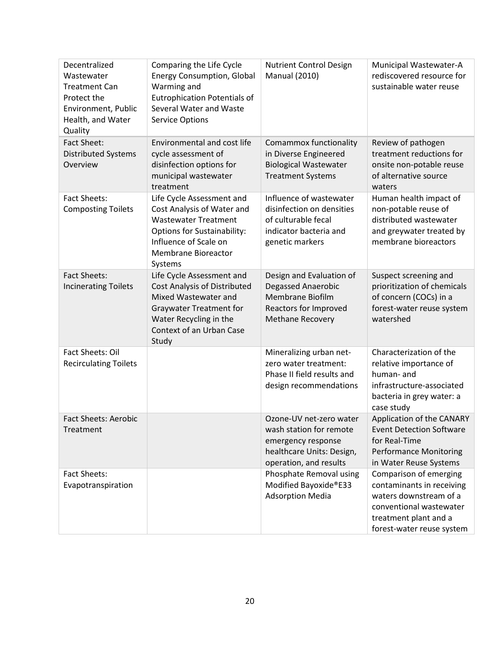| Decentralized                          | Comparing the Life Cycle                           | <b>Nutrient Control Design</b>                  | Municipal Wastewater-A                         |
|----------------------------------------|----------------------------------------------------|-------------------------------------------------|------------------------------------------------|
| Wastewater                             | <b>Energy Consumption, Global</b>                  | <b>Manual (2010)</b>                            | rediscovered resource for                      |
| <b>Treatment Can</b>                   | Warming and                                        |                                                 | sustainable water reuse                        |
| Protect the                            | <b>Eutrophication Potentials of</b>                |                                                 |                                                |
| Environment, Public                    | Several Water and Waste                            |                                                 |                                                |
| Health, and Water                      | <b>Service Options</b>                             |                                                 |                                                |
| Quality                                |                                                    |                                                 |                                                |
| <b>Fact Sheet:</b>                     | Environmental and cost life<br>cycle assessment of | Comammox functionality<br>in Diverse Engineered | Review of pathogen<br>treatment reductions for |
| <b>Distributed Systems</b><br>Overview | disinfection options for                           | <b>Biological Wastewater</b>                    | onsite non-potable reuse                       |
|                                        | municipal wastewater                               | <b>Treatment Systems</b>                        | of alternative source                          |
|                                        | treatment                                          |                                                 | waters                                         |
| <b>Fact Sheets:</b>                    | Life Cycle Assessment and                          | Influence of wastewater                         | Human health impact of                         |
| <b>Composting Toilets</b>              | Cost Analysis of Water and                         | disinfection on densities                       | non-potable reuse of                           |
|                                        | <b>Wastewater Treatment</b>                        | of culturable fecal                             | distributed wastewater                         |
|                                        | <b>Options for Sustainability:</b>                 | indicator bacteria and                          | and greywater treated by                       |
|                                        | Influence of Scale on                              | genetic markers                                 | membrane bioreactors                           |
|                                        | <b>Membrane Bioreactor</b>                         |                                                 |                                                |
|                                        | Systems                                            |                                                 |                                                |
| <b>Fact Sheets:</b>                    | Life Cycle Assessment and                          | Design and Evaluation of                        | Suspect screening and                          |
| <b>Incinerating Toilets</b>            | <b>Cost Analysis of Distributed</b>                | <b>Degassed Anaerobic</b>                       | prioritization of chemicals                    |
|                                        | Mixed Wastewater and                               | Membrane Biofilm                                | of concern (COCs) in a                         |
|                                        | <b>Graywater Treatment for</b>                     | Reactors for Improved                           | forest-water reuse system                      |
|                                        | Water Recycling in the                             | <b>Methane Recovery</b>                         | watershed                                      |
|                                        | Context of an Urban Case                           |                                                 |                                                |
| Fact Sheets: Oil                       | Study                                              | Mineralizing urban net-                         | Characterization of the                        |
| <b>Recirculating Toilets</b>           |                                                    | zero water treatment:                           | relative importance of                         |
|                                        |                                                    | Phase II field results and                      | human- and                                     |
|                                        |                                                    | design recommendations                          | infrastructure-associated                      |
|                                        |                                                    |                                                 | bacteria in grey water: a                      |
|                                        |                                                    |                                                 | case study                                     |
| <b>Fact Sheets: Aerobic</b>            |                                                    | Ozone-UV net-zero water                         | Application of the CANARY                      |
| Treatment                              |                                                    | wash station for remote                         | <b>Event Detection Software</b>                |
|                                        |                                                    | emergency response                              | for Real-Time                                  |
|                                        |                                                    | healthcare Units: Design,                       | <b>Performance Monitoring</b>                  |
|                                        |                                                    | operation, and results                          | in Water Reuse Systems                         |
| Fact Sheets:                           |                                                    | Phosphate Removal using                         | Comparison of emerging                         |
| Evapotranspiration                     |                                                    | Modified Bayoxide®E33                           | contaminants in receiving                      |
|                                        |                                                    | <b>Adsorption Media</b>                         | waters downstream of a                         |
|                                        |                                                    |                                                 | conventional wastewater                        |
|                                        |                                                    |                                                 | treatment plant and a                          |
|                                        |                                                    |                                                 | forest-water reuse system                      |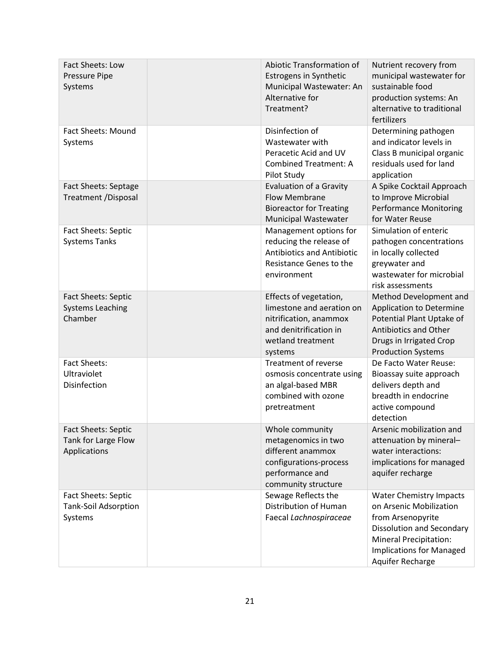| Fact Sheets: Low<br>Pressure Pipe<br>Systems                         | Abiotic Transformation of<br><b>Estrogens in Synthetic</b><br>Municipal Wastewater: An<br>Alternative for<br>Treatment?                 | Nutrient recovery from<br>municipal wastewater for<br>sustainable food<br>production systems: An<br>alternative to traditional<br>fertilizers                                                              |
|----------------------------------------------------------------------|-----------------------------------------------------------------------------------------------------------------------------------------|------------------------------------------------------------------------------------------------------------------------------------------------------------------------------------------------------------|
| <b>Fact Sheets: Mound</b><br>Systems                                 | Disinfection of<br>Wastewater with<br>Peracetic Acid and UV<br><b>Combined Treatment: A</b><br>Pilot Study                              | Determining pathogen<br>and indicator levels in<br>Class B municipal organic<br>residuals used for land<br>application                                                                                     |
| Fact Sheets: Septage<br><b>Treatment /Disposal</b>                   | Evaluation of a Gravity<br><b>Flow Membrane</b><br><b>Bioreactor for Treating</b><br><b>Municipal Wastewater</b>                        | A Spike Cocktail Approach<br>to Improve Microbial<br><b>Performance Monitoring</b><br>for Water Reuse                                                                                                      |
| <b>Fact Sheets: Septic</b><br><b>Systems Tanks</b>                   | Management options for<br>reducing the release of<br><b>Antibiotics and Antibiotic</b><br>Resistance Genes to the<br>environment        | Simulation of enteric<br>pathogen concentrations<br>in locally collected<br>greywater and<br>wastewater for microbial<br>risk assessments                                                                  |
| <b>Fact Sheets: Septic</b><br><b>Systems Leaching</b><br>Chamber     | Effects of vegetation,<br>limestone and aeration on<br>nitrification, anammox<br>and denitrification in<br>wetland treatment<br>systems | Method Development and<br><b>Application to Determine</b><br>Potential Plant Uptake of<br><b>Antibiotics and Other</b><br>Drugs in Irrigated Crop<br><b>Production Systems</b>                             |
| <b>Fact Sheets:</b><br>Ultraviolet<br><b>Disinfection</b>            | Treatment of reverse<br>osmosis concentrate using<br>an algal-based MBR<br>combined with ozone<br>pretreatment                          | De Facto Water Reuse:<br>Bioassay suite approach<br>delivers depth and<br>breadth in endocrine<br>active compound<br>detection                                                                             |
| <b>Fact Sheets: Septic</b><br>Tank for Large Flow<br>Applications    | Whole community<br>metagenomics in two<br>different anammox<br>configurations-process<br>performance and<br>community structure         | Arsenic mobilization and<br>attenuation by mineral-<br>water interactions:<br>implications for managed<br>aquifer recharge                                                                                 |
| <b>Fact Sheets: Septic</b><br><b>Tank-Soil Adsorption</b><br>Systems | Sewage Reflects the<br>Distribution of Human<br>Faecal Lachnospiraceae                                                                  | <b>Water Chemistry Impacts</b><br>on Arsenic Mobilization<br>from Arsenopyrite<br><b>Dissolution and Secondary</b><br><b>Mineral Precipitation:</b><br><b>Implications for Managed</b><br>Aquifer Recharge |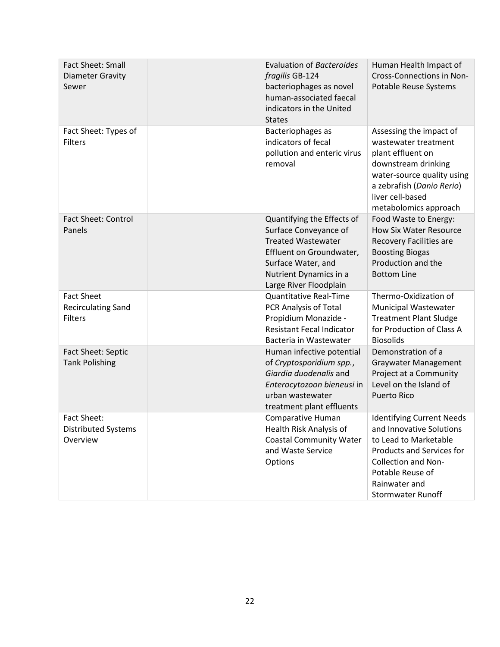| Fact Sheet: Small<br><b>Diameter Gravity</b><br>Sewer        | <b>Evaluation of Bacteroides</b><br>fragilis GB-124<br>bacteriophages as novel<br>human-associated faecal<br>indicators in the United<br><b>States</b>                                 | Human Health Impact of<br>Cross-Connections in Non-<br>Potable Reuse Systems                                                                                                                                             |
|--------------------------------------------------------------|----------------------------------------------------------------------------------------------------------------------------------------------------------------------------------------|--------------------------------------------------------------------------------------------------------------------------------------------------------------------------------------------------------------------------|
| Fact Sheet: Types of<br><b>Filters</b>                       | Bacteriophages as<br>indicators of fecal<br>pollution and enteric virus<br>removal                                                                                                     | Assessing the impact of<br>wastewater treatment<br>plant effluent on<br>downstream drinking<br>water-source quality using<br>a zebrafish (Danio Rerio)<br>liver cell-based<br>metabolomics approach                      |
| <b>Fact Sheet: Control</b><br>Panels                         | Quantifying the Effects of<br>Surface Conveyance of<br><b>Treated Wastewater</b><br>Effluent on Groundwater,<br>Surface Water, and<br>Nutrient Dynamics in a<br>Large River Floodplain | Food Waste to Energy:<br><b>How Six Water Resource</b><br>Recovery Facilities are<br><b>Boosting Biogas</b><br>Production and the<br><b>Bottom Line</b>                                                                  |
| <b>Fact Sheet</b><br><b>Recirculating Sand</b><br>Filters    | <b>Quantitative Real-Time</b><br>PCR Analysis of Total<br>Propidium Monazide -<br><b>Resistant Fecal Indicator</b><br>Bacteria in Wastewater                                           | Thermo-Oxidization of<br><b>Municipal Wastewater</b><br><b>Treatment Plant Sludge</b><br>for Production of Class A<br><b>Biosolids</b>                                                                                   |
| Fact Sheet: Septic<br><b>Tank Polishing</b>                  | Human infective potential<br>of Cryptosporidium spp.,<br>Giardia duodenalis and<br>Enterocytozoon bieneusi in<br>urban wastewater<br>treatment plant effluents                         | Demonstration of a<br><b>Graywater Management</b><br>Project at a Community<br>Level on the Island of<br><b>Puerto Rico</b>                                                                                              |
| <b>Fact Sheet:</b><br><b>Distributed Systems</b><br>Overview | Comparative Human<br>Health Risk Analysis of<br><b>Coastal Community Water</b><br>and Waste Service<br>Options                                                                         | <b>Identifying Current Needs</b><br>and Innovative Solutions<br>to Lead to Marketable<br><b>Products and Services for</b><br><b>Collection and Non-</b><br>Potable Reuse of<br>Rainwater and<br><b>Stormwater Runoff</b> |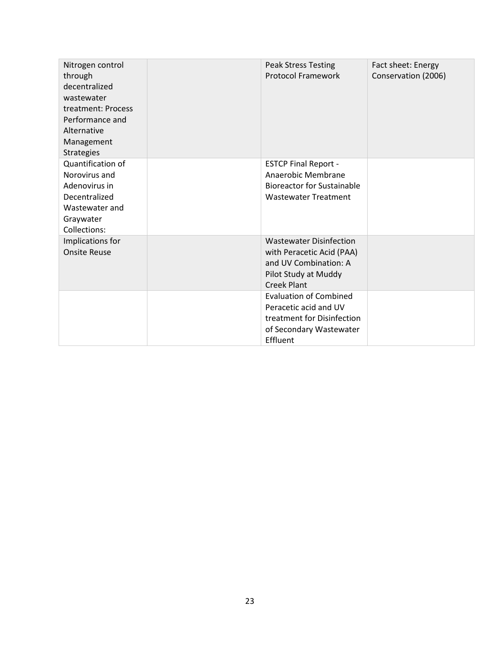| Nitrogen control<br>through<br>decentralized<br>wastewater<br>treatment: Process<br>Performance and<br>Alternative<br>Management<br><b>Strategies</b> | <b>Peak Stress Testing</b><br><b>Protocol Framework</b>                                                                            | Fact sheet: Energy<br>Conservation (2006) |
|-------------------------------------------------------------------------------------------------------------------------------------------------------|------------------------------------------------------------------------------------------------------------------------------------|-------------------------------------------|
| Quantification of<br>Norovirus and<br>Adenovirus in<br>Decentralized<br>Wastewater and<br>Graywater<br>Collections:                                   | <b>ESTCP Final Report -</b><br>Anaerobic Membrane<br><b>Bioreactor for Sustainable</b><br><b>Wastewater Treatment</b>              |                                           |
| Implications for<br><b>Onsite Reuse</b>                                                                                                               | <b>Wastewater Disinfection</b><br>with Peracetic Acid (PAA)<br>and UV Combination: A<br>Pilot Study at Muddy<br><b>Creek Plant</b> |                                           |
|                                                                                                                                                       | <b>Evaluation of Combined</b><br>Peracetic acid and UV<br>treatment for Disinfection<br>of Secondary Wastewater<br>Effluent        |                                           |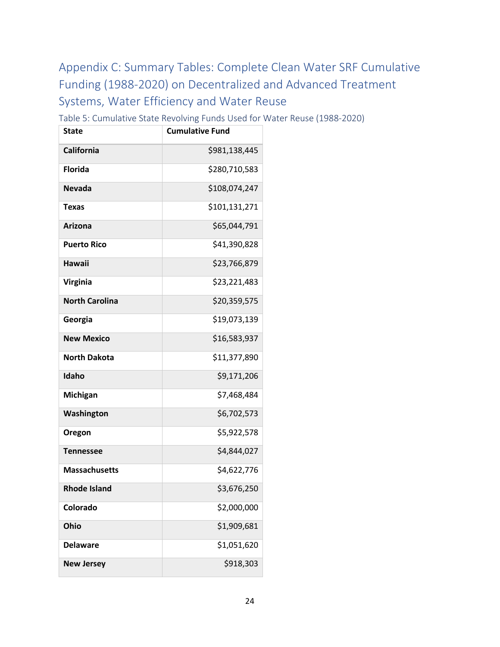# <span id="page-23-0"></span>Appendix C: Summary Tables: Complete Clean Water SRF Cumulative Funding (1988-2020) on Decentralized and Advanced Treatment Systems, Water Efficiency and Water Reuse

Table 5: Cumulative State Revolving Funds Used for Water Reuse (1988-2020)

| <b>State</b>          | <b>Cumulative Fund</b> |
|-----------------------|------------------------|
| <b>California</b>     | \$981,138,445          |
| <b>Florida</b>        | \$280,710,583          |
| <b>Nevada</b>         | \$108,074,247          |
| Texas                 | \$101,131,271          |
| <b>Arizona</b>        | \$65,044,791           |
| <b>Puerto Rico</b>    | \$41,390,828           |
| <b>Hawaii</b>         | \$23,766,879           |
| <b>Virginia</b>       | \$23,221,483           |
| <b>North Carolina</b> | \$20,359,575           |
| Georgia               | \$19,073,139           |
| <b>New Mexico</b>     | \$16,583,937           |
| <b>North Dakota</b>   | \$11,377,890           |
| Idaho                 | \$9,171,206            |
| Michigan              | \$7,468,484            |
| Washington            | \$6,702,573            |
| Oregon                | \$5,922,578            |
| <b>Tennessee</b>      | \$4,844,027            |
| <b>Massachusetts</b>  | \$4,622,776            |
| <b>Rhode Island</b>   | \$3,676,250            |
| Colorado              | \$2,000,000            |
| <b>Ohio</b>           | \$1,909,681            |
| <b>Delaware</b>       | \$1,051,620            |
| <b>New Jersey</b>     | \$918,303              |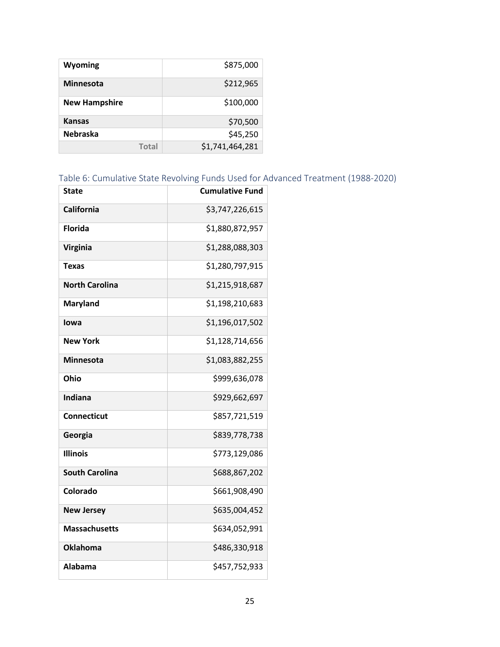| Wyoming              | \$875,000       |
|----------------------|-----------------|
| Minnesota            | \$212,965       |
| <b>New Hampshire</b> | \$100,000       |
| <b>Kansas</b>        | \$70,500        |
| <b>Nebraska</b>      | \$45,250        |
| Total                | \$1,741,464,281 |

# Table 6: Cumulative State Revolving Funds Used for Advanced Treatment (1988-2020)

| <b>State</b>          | <b>Cumulative Fund</b> |
|-----------------------|------------------------|
| California            | \$3,747,226,615        |
| <b>Florida</b>        | \$1,880,872,957        |
| <b>Virginia</b>       | \$1,288,088,303        |
| <b>Texas</b>          | \$1,280,797,915        |
| <b>North Carolina</b> | \$1,215,918,687        |
| <b>Maryland</b>       | \$1,198,210,683        |
| Iowa                  | \$1,196,017,502        |
| <b>New York</b>       | \$1,128,714,656        |
| Minnesota             | \$1,083,882,255        |
| Ohio                  | \$999,636,078          |
| Indiana               | \$929,662,697          |
| <b>Connecticut</b>    | \$857,721,519          |
| Georgia               | \$839,778,738          |
| <b>Illinois</b>       | \$773,129,086          |
| <b>South Carolina</b> | \$688,867,202          |
| Colorado              | \$661,908,490          |
| <b>New Jersey</b>     | \$635,004,452          |
| <b>Massachusetts</b>  | \$634,052,991          |
| <b>Oklahoma</b>       | \$486,330,918          |
| Alabama               | \$457,752,933          |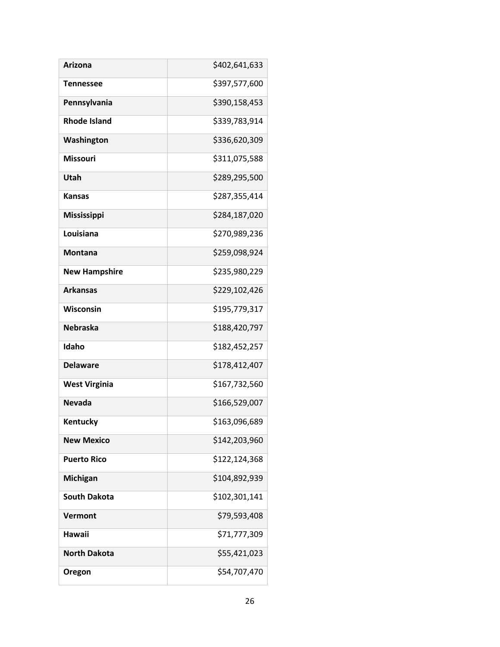| <b>Arizona</b>       | \$402,641,633 |
|----------------------|---------------|
| <b>Tennessee</b>     | \$397,577,600 |
| Pennsylvania         | \$390,158,453 |
| <b>Rhode Island</b>  | \$339,783,914 |
| Washington           | \$336,620,309 |
| <b>Missouri</b>      | \$311,075,588 |
| Utah                 | \$289,295,500 |
| <b>Kansas</b>        | \$287,355,414 |
| Mississippi          | \$284,187,020 |
| Louisiana            | \$270,989,236 |
| <b>Montana</b>       | \$259,098,924 |
| <b>New Hampshire</b> | \$235,980,229 |
| <b>Arkansas</b>      | \$229,102,426 |
| Wisconsin            | \$195,779,317 |
| <b>Nebraska</b>      | \$188,420,797 |
| Idaho                | \$182,452,257 |
| <b>Delaware</b>      | \$178,412,407 |
| <b>West Virginia</b> | \$167,732,560 |
| <b>Nevada</b>        | \$166,529,007 |
| Kentucky             | \$163,096,689 |
| <b>New Mexico</b>    | \$142,203,960 |
| <b>Puerto Rico</b>   | \$122,124,368 |
| Michigan             | \$104,892,939 |
| <b>South Dakota</b>  | \$102,301,141 |
| <b>Vermont</b>       | \$79,593,408  |
| Hawaii               | \$71,777,309  |
| <b>North Dakota</b>  | \$55,421,023  |
| Oregon               | \$54,707,470  |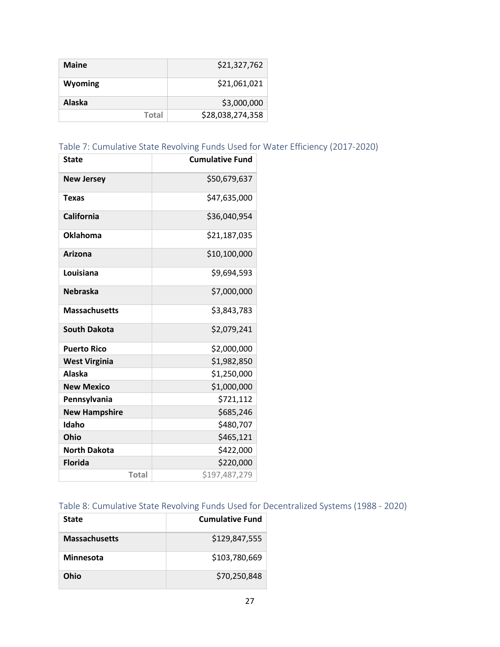| <b>Maine</b> | \$21,327,762     |
|--------------|------------------|
| Wyoming      | \$21,061,021     |
| Alaska       | \$3,000,000      |
| Total        | \$28,038,274,358 |

| Table 7: Cumulative State Revolving Funds Used for Water Efficiency (2017-2020) |  |  |
|---------------------------------------------------------------------------------|--|--|
|---------------------------------------------------------------------------------|--|--|

| <b>State</b>         | <b>Cumulative Fund</b> |
|----------------------|------------------------|
| <b>New Jersey</b>    | \$50,679,637           |
| Texas                | \$47,635,000           |
| California           | \$36,040,954           |
| <b>Oklahoma</b>      | \$21,187,035           |
| Arizona              | \$10,100,000           |
| Louisiana            | \$9,694,593            |
| <b>Nebraska</b>      | \$7,000,000            |
| <b>Massachusetts</b> | \$3,843,783            |
| <b>South Dakota</b>  | \$2,079,241            |
| <b>Puerto Rico</b>   | \$2,000,000            |
| <b>West Virginia</b> | \$1,982,850            |
| <b>Alaska</b>        | \$1,250,000            |
| <b>New Mexico</b>    | \$1,000,000            |
| Pennsylvania         | \$721,112              |
| <b>New Hampshire</b> | \$685,246              |
| Idaho                | \$480,707              |
| <b>Ohio</b>          | \$465,121              |
| <b>North Dakota</b>  | \$422,000              |
| <b>Florida</b>       | \$220,000              |
| <b>Total</b>         | \$197,487,279          |

# Table 8: Cumulative State Revolving Funds Used for Decentralized Systems (1988 - 2020)

| <b>State</b>         | <b>Cumulative Fund</b> |
|----------------------|------------------------|
| <b>Massachusetts</b> | \$129,847,555          |
| Minnesota            | \$103,780,669          |
| Ohio                 | \$70,250,848           |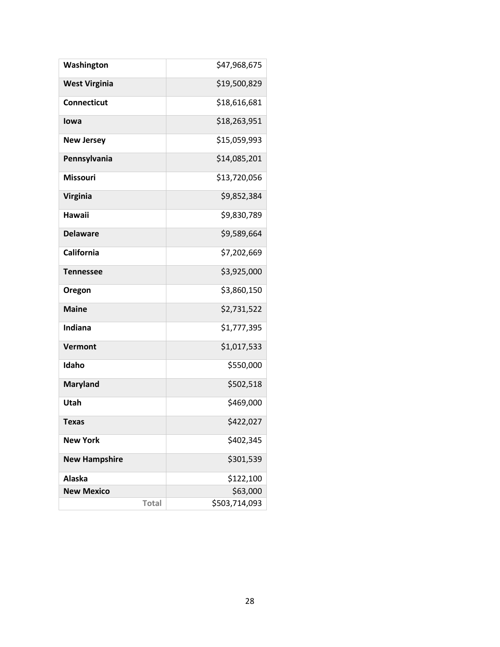| Washington           | \$47,968,675  |
|----------------------|---------------|
| <b>West Virginia</b> | \$19,500,829  |
| <b>Connecticut</b>   | \$18,616,681  |
| lowa                 | \$18,263,951  |
| <b>New Jersey</b>    | \$15,059,993  |
| Pennsylvania         | \$14,085,201  |
| <b>Missouri</b>      | \$13,720,056  |
| Virginia             | \$9,852,384   |
| <b>Hawaii</b>        | \$9,830,789   |
| <b>Delaware</b>      | \$9,589,664   |
| California           | \$7,202,669   |
| <b>Tennessee</b>     | \$3,925,000   |
| Oregon               | \$3,860,150   |
| <b>Maine</b>         | \$2,731,522   |
| Indiana              | \$1,777,395   |
| Vermont              | \$1,017,533   |
| Idaho                | \$550,000     |
| <b>Maryland</b>      | \$502,518     |
| Utah                 | \$469,000     |
| <b>Texas</b>         | \$422,027     |
| <b>New York</b>      | \$402,345     |
| <b>New Hampshire</b> | \$301,539     |
| Alaska               | \$122,100     |
| <b>New Mexico</b>    | \$63,000      |
| <b>Total</b>         | \$503,714,093 |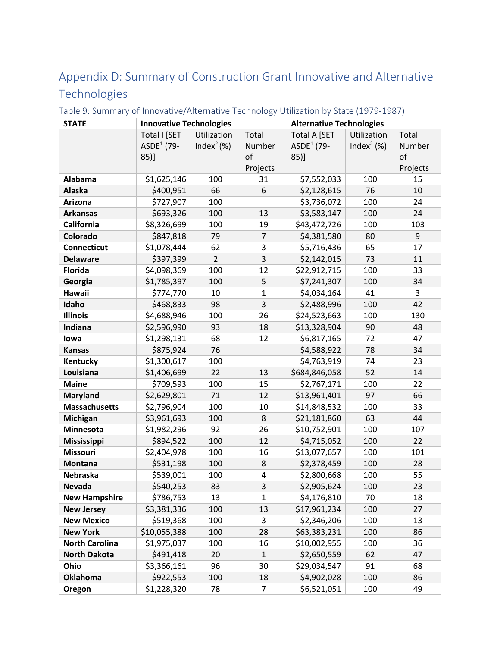# <span id="page-28-0"></span>Appendix D: Summary of Construction Grant Innovative and Alternative Technologies

| <b>STATE</b>          | <b>Innovative Technologies</b> |                          |                | <b>Alternative Technologies</b> |                          |          |  |  |  |
|-----------------------|--------------------------------|--------------------------|----------------|---------------------------------|--------------------------|----------|--|--|--|
|                       | Total I [SET                   | Utilization              | Total          | Total A [SET                    | Utilization              | Total    |  |  |  |
|                       | ASDE <sup>1</sup> (79-         | Index <sup>2</sup> $(%)$ | Number         | ASDE <sup>1</sup> (79-          | Index <sup>2</sup> $(%)$ | Number   |  |  |  |
|                       | 85)]                           |                          | of             | 85)]                            |                          | of       |  |  |  |
|                       |                                |                          | Projects       |                                 |                          | Projects |  |  |  |
| Alabama               | \$1,625,146                    | 100                      | 31             | \$7,552,033                     | 100                      | 15       |  |  |  |
| <b>Alaska</b>         | \$400,951                      | 66                       | 6              | \$2,128,615                     | 76                       | 10       |  |  |  |
| Arizona               | \$727,907                      | 100                      |                | \$3,736,072                     | 100                      | 24       |  |  |  |
| <b>Arkansas</b>       | \$693,326                      | 100                      | 13             | \$3,583,147                     | 100                      | 24       |  |  |  |
| California            | \$8,326,699                    | 100                      | 19             | \$43,472,726                    | 100                      | 103      |  |  |  |
| Colorado              | \$847,818                      | 79                       | $\overline{7}$ | \$4,381,580                     | 80                       | 9        |  |  |  |
| <b>Connecticut</b>    | \$1,078,444                    | 62                       | 3              | \$5,716,436                     | 65                       | 17       |  |  |  |
| <b>Delaware</b>       | \$397,399                      | $\overline{2}$           | 3              | \$2,142,015                     | 73                       | 11       |  |  |  |
| <b>Florida</b>        | \$4,098,369                    | 100                      | 12             | \$22,912,715                    | 100                      | 33       |  |  |  |
| Georgia               | \$1,785,397                    | 100                      | 5              | \$7,241,307                     | 100                      | 34       |  |  |  |
| Hawaii                | \$774,770                      | 10                       | 1              | \$4,034,164                     | 41                       | 3        |  |  |  |
| Idaho                 | \$468,833                      | 98                       | 3              | \$2,488,996                     | 100                      | 42       |  |  |  |
| <b>Illinois</b>       | \$4,688,946                    | 100                      | 26             | \$24,523,663                    | 100                      | 130      |  |  |  |
| Indiana               | \$2,596,990                    | 93                       | 18             | \$13,328,904                    | 90                       | 48       |  |  |  |
| lowa                  | \$1,298,131                    | 68                       | 12             | \$6,817,165                     | 72                       | 47       |  |  |  |
| <b>Kansas</b>         | \$875,924                      | 76                       |                | \$4,588,922                     | 78                       | 34       |  |  |  |
| Kentucky              | \$1,300,617                    | 100                      |                | \$4,763,919                     | 74                       | 23       |  |  |  |
| Louisiana             | \$1,406,699                    | 22                       | 13             | \$684,846,058                   | 52                       | 14       |  |  |  |
| <b>Maine</b>          | \$709,593                      | 100                      | 15             | \$2,767,171                     | 100                      | 22       |  |  |  |
| <b>Maryland</b>       | \$2,629,801                    | 71                       | 12             | \$13,961,401                    | 97                       | 66       |  |  |  |
| <b>Massachusetts</b>  | \$2,796,904                    | 100                      | 10             | \$14,848,532                    | 100                      | 33       |  |  |  |
| Michigan              | \$3,961,693                    | 100                      | 8              | \$21,181,860                    | 63                       | 44       |  |  |  |
| Minnesota             | \$1,982,296                    | 92                       | 26             | \$10,752,901                    | 100                      | 107      |  |  |  |
| Mississippi           | \$894,522                      | 100                      | 12             | \$4,715,052                     | 100                      | 22       |  |  |  |
| <b>Missouri</b>       | \$2,404,978                    | 100                      | 16             | \$13,077,657                    | 100                      | 101      |  |  |  |
| <b>Montana</b>        | \$531,198                      | 100                      | 8              | \$2,378,459                     | 100                      | 28       |  |  |  |
| Nebraska              | \$539,001                      | 100                      | 4              | \$2,800,668                     | 100                      | 55       |  |  |  |
| <b>Nevada</b>         | \$540,253                      | 83                       | 3              | \$2,905,624                     | 100                      | 23       |  |  |  |
| <b>New Hampshire</b>  | \$786,753                      | 13                       | 1              | \$4,176,810                     | 70                       | 18       |  |  |  |
| <b>New Jersey</b>     | \$3,381,336                    | 100                      | 13             | \$17,961,234                    | 100                      | 27       |  |  |  |
| <b>New Mexico</b>     | \$519,368                      | 100                      | 3              | \$2,346,206                     | 100                      | 13       |  |  |  |
| <b>New York</b>       | \$10,055,388                   | 100                      | 28             | \$63,383,231                    | 100                      | 86       |  |  |  |
| <b>North Carolina</b> | \$1,975,037                    | 100                      | 16             | \$10,002,955                    | 100                      | 36       |  |  |  |
| <b>North Dakota</b>   | \$491,418                      | 20                       | $\mathbf{1}$   | \$2,650,559                     | 62                       | 47       |  |  |  |
| Ohio                  | \$3,366,161                    | 96                       | 30             | \$29,034,547                    | 91                       | 68       |  |  |  |
| <b>Oklahoma</b>       | \$922,553                      | 100                      | 18             | \$4,902,028                     | 100                      | 86       |  |  |  |
| Oregon                | \$1,228,320                    | 78                       | $\overline{7}$ | \$6,521,051                     | 100                      | 49       |  |  |  |

<span id="page-28-1"></span>Table 9: Summary of Innovative/Alternative Technology Utilization by State (1979-1987)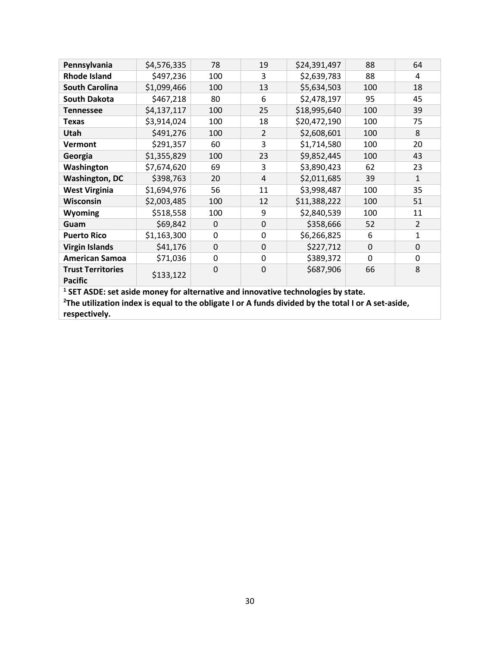| Pennsylvania                                                                        | \$4,576,335 | 78       | 19             | \$24,391,497 | 88       | 64             |
|-------------------------------------------------------------------------------------|-------------|----------|----------------|--------------|----------|----------------|
| <b>Rhode Island</b>                                                                 | \$497,236   | 100      | 3              | \$2,639,783  | 88       | 4              |
| <b>South Carolina</b>                                                               | \$1,099,466 | 100      | 13             | \$5,634,503  | 100      | 18             |
| <b>South Dakota</b>                                                                 | \$467,218   | 80       | 6              | \$2,478,197  | 95       | 45             |
| <b>Tennessee</b>                                                                    | \$4,137,117 | 100      | 25             | \$18,995,640 | 100      | 39             |
| <b>Texas</b>                                                                        | \$3,914,024 | 100      | 18             | \$20,472,190 | 100      | 75             |
| <b>Utah</b>                                                                         | \$491,276   | 100      | $\overline{2}$ | \$2,608,601  | 100      | 8              |
| <b>Vermont</b>                                                                      | \$291,357   | 60       | 3              | \$1,714,580  | 100      | 20             |
| Georgia                                                                             | \$1,355,829 | 100      | 23             | \$9,852,445  | 100      | 43             |
| Washington                                                                          | \$7,674,620 | 69       | 3              | \$3,890,423  | 62       | 23             |
| <b>Washington, DC</b>                                                               | \$398,763   | 20       | 4              | \$2,011,685  | 39       | 1              |
| <b>West Virginia</b>                                                                | \$1,694,976 | 56       | 11             | \$3,998,487  | 100      | 35             |
| Wisconsin                                                                           | \$2,003,485 | 100      | 12             | \$11,388,222 | 100      | 51             |
| <b>Wyoming</b>                                                                      | \$518,558   | 100      | 9              | \$2,840,539  | 100      | 11             |
| Guam                                                                                | \$69,842    | $\Omega$ | $\mathbf 0$    | \$358,666    | 52       | $\overline{2}$ |
| <b>Puerto Rico</b>                                                                  | \$1,163,300 | 0        | 0              | \$6,266,825  | 6        | 1              |
| <b>Virgin Islands</b>                                                               | \$41,176    | 0        | 0              | \$227,712    | $\Omega$ | 0              |
| <b>American Samoa</b>                                                               | \$71,036    | 0        | 0              | \$389,372    | 0        | 0              |
| <b>Trust Territories</b><br><b>Pacific</b>                                          | \$133,122   | 0        | $\Omega$       | \$687,906    | 66       | 8              |
| $^1$ CFT ASDE: set aside money for alternative and innovative technologies by state |             |          |                |              |          |                |

**<sup>1</sup> SET ASDE: set aside money for alternative and innovative technologies by state. 2 The utilization index is equal to the obligate I or A funds divided by the total I or A set-aside,** 

**respectively.**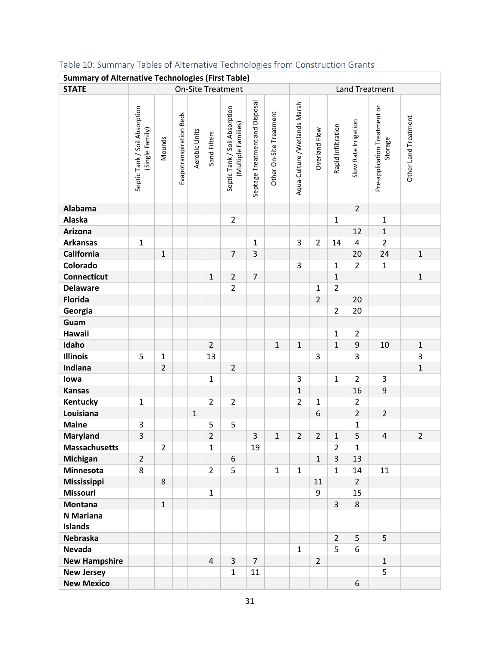| <b>Summary of Alternative Technologies (First Table)</b> |                                                  |                |                         |               |                          |                                                      |                                |                         |                              |                |                       |                      |                                         |                      |
|----------------------------------------------------------|--------------------------------------------------|----------------|-------------------------|---------------|--------------------------|------------------------------------------------------|--------------------------------|-------------------------|------------------------------|----------------|-----------------------|----------------------|-----------------------------------------|----------------------|
| <b>STATE</b>                                             |                                                  |                |                         |               | <b>On-Site Treatment</b> |                                                      |                                |                         |                              |                | <b>Land Treatment</b> |                      |                                         |                      |
|                                                          | Septic Tank / Soil Absorption<br>(Single Family) | Mounds         | Evapotranspiration Beds | Aerobic Units | Sand Filters             | Septic Tank / Soil Absorption<br>(Multiple Families) | Septage Treatment and Disposal | Other On-Site Treatment | Aqua-Culture /Wetlands Marsh | Overland Flow  | Rapid Infiltration    | Slow Rate Irrigation | Pre-application Treatment or<br>Storage | Other Land Treatment |
| Alabama                                                  |                                                  |                |                         |               |                          |                                                      |                                |                         |                              |                |                       | $\overline{2}$       |                                         |                      |
| Alaska                                                   |                                                  |                |                         |               |                          | $\overline{2}$                                       |                                |                         |                              |                | $\mathbf 1$           |                      | $\mathbf{1}$                            |                      |
| Arizona                                                  |                                                  |                |                         |               |                          |                                                      |                                |                         |                              |                |                       | 12                   | $\mathbf 1$                             |                      |
| <b>Arkansas</b>                                          | $\mathbf 1$                                      |                |                         |               |                          |                                                      | $\mathbf{1}$                   |                         | 3                            | $\overline{2}$ | 14                    | 4                    | $\overline{2}$                          |                      |
| California                                               |                                                  | $\mathbf{1}$   |                         |               |                          | $\overline{7}$                                       | 3                              |                         |                              |                |                       | 20                   | 24                                      | $\mathbf{1}$         |
| Colorado                                                 |                                                  |                |                         |               |                          |                                                      |                                |                         | 3                            |                | $\mathbf{1}$          | $\overline{2}$       | $\mathbf 1$                             |                      |
| <b>Connecticut</b>                                       |                                                  |                |                         |               | $\mathbf{1}$             | $\overline{2}$                                       | $\overline{7}$                 |                         |                              |                | $\mathbf 1$           |                      |                                         | $\mathbf 1$          |
| <b>Delaware</b>                                          |                                                  |                |                         |               |                          | $\overline{2}$                                       |                                |                         |                              | $\mathbf{1}$   | $\overline{2}$        |                      |                                         |                      |
| <b>Florida</b>                                           |                                                  |                |                         |               |                          |                                                      |                                |                         |                              | $\overline{2}$ |                       | 20                   |                                         |                      |
| Georgia                                                  |                                                  |                |                         |               |                          |                                                      |                                |                         |                              |                | $\overline{2}$        | 20                   |                                         |                      |
| Guam                                                     |                                                  |                |                         |               |                          |                                                      |                                |                         |                              |                |                       |                      |                                         |                      |
| Hawaii                                                   |                                                  |                |                         |               |                          |                                                      |                                |                         |                              |                | $\mathbf{1}$          | $\overline{2}$       |                                         |                      |
| Idaho                                                    |                                                  |                |                         |               | $\overline{2}$           |                                                      |                                | $\mathbf{1}$            | $\mathbf{1}$                 |                | $\mathbf{1}$          | $\boldsymbol{9}$     | 10                                      | $\mathbf{1}$         |
| <b>Illinois</b>                                          | 5                                                | $\mathbf 1$    |                         |               | 13                       |                                                      |                                |                         |                              | 3              |                       | 3                    |                                         | 3                    |
| Indiana                                                  |                                                  | $\overline{2}$ |                         |               |                          | $\overline{2}$                                       |                                |                         |                              |                |                       |                      |                                         | $\mathbf{1}$         |
| lowa                                                     |                                                  |                |                         |               | $\mathbf{1}$             |                                                      |                                |                         | 3                            |                | $\mathbf{1}$          | $\overline{2}$       | 3                                       |                      |
| <b>Kansas</b>                                            |                                                  |                |                         |               |                          |                                                      |                                |                         | $\mathbf{1}$                 |                |                       | 16                   | 9                                       |                      |
| Kentucky                                                 | $\mathbf 1$                                      |                |                         |               | $\overline{2}$           | $\overline{2}$                                       |                                |                         | $\overline{2}$               | $\mathbf{1}$   |                       | $\overline{2}$       |                                         |                      |
| Louisiana                                                |                                                  |                |                         | $\mathbf 1$   |                          |                                                      |                                |                         |                              | 6              |                       | $\overline{2}$       | $\overline{2}$                          |                      |
| <b>Maine</b>                                             | 3                                                |                |                         |               | 5                        | 5                                                    |                                |                         |                              |                |                       | $\mathbf 1$          |                                         |                      |
| <b>Maryland</b>                                          | 3                                                |                |                         |               | $\overline{2}$           |                                                      | 3                              | $\mathbf{1}$            | $\overline{2}$               | $\overline{2}$ | $\mathbf{1}$          | 5                    | $\overline{\mathbf{4}}$                 | $\overline{2}$       |
| <b>Massachusetts</b>                                     |                                                  | $\overline{2}$ |                         |               | $\mathbf{1}$             |                                                      | 19                             |                         |                              |                | $\overline{2}$        | $\mathbf{1}$         |                                         |                      |
| Michigan                                                 | $\overline{2}$                                   |                |                         |               |                          | 6                                                    |                                |                         |                              | $\mathbf{1}$   | 3                     | 13                   |                                         |                      |
| Minnesota                                                | 8                                                |                |                         |               | $\overline{2}$           | 5                                                    |                                | $\mathbf{1}$            | $\mathbf{1}$                 |                | $\mathbf{1}$          | 14                   | 11                                      |                      |
| Mississippi                                              |                                                  | 8              |                         |               |                          |                                                      |                                |                         |                              | 11             |                       | $\overline{2}$       |                                         |                      |
| <b>Missouri</b>                                          |                                                  |                |                         |               | $\mathbf{1}$             |                                                      |                                |                         |                              | 9              |                       | 15                   |                                         |                      |
| <b>Montana</b>                                           |                                                  | $\mathbf{1}$   |                         |               |                          |                                                      |                                |                         |                              |                | $\overline{3}$        | 8                    |                                         |                      |
| N Mariana                                                |                                                  |                |                         |               |                          |                                                      |                                |                         |                              |                |                       |                      |                                         |                      |
| <b>Islands</b>                                           |                                                  |                |                         |               |                          |                                                      |                                |                         |                              |                |                       |                      |                                         |                      |
| Nebraska                                                 |                                                  |                |                         |               |                          |                                                      |                                |                         |                              |                | $\overline{2}$        | 5                    | 5                                       |                      |
| Nevada                                                   |                                                  |                |                         |               |                          |                                                      |                                |                         | $\mathbf{1}$                 |                | 5                     | 6                    |                                         |                      |
| <b>New Hampshire</b>                                     |                                                  |                |                         |               | $\overline{4}$           | 3                                                    | $\overline{7}$                 |                         |                              | $\overline{2}$ |                       |                      | $\mathbf{1}$                            |                      |
| <b>New Jersey</b>                                        |                                                  |                |                         |               |                          | $\mathbf{1}$                                         | 11                             |                         |                              |                |                       |                      | 5                                       |                      |
| <b>New Mexico</b>                                        |                                                  |                |                         |               |                          |                                                      |                                |                         |                              |                |                       | 6                    |                                         |                      |

# <span id="page-30-0"></span>Table 10: Summary Tables of Alternative Technologies from Construction Grants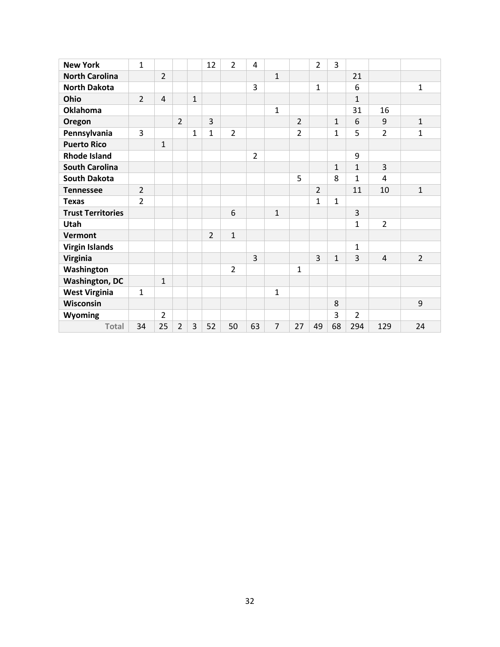| <b>New York</b>          | $\overline{1}$ |                |                |                | 12             | $\overline{2}$ | 4              |                |                | $\overline{2}$ | 3            |                |                |                |
|--------------------------|----------------|----------------|----------------|----------------|----------------|----------------|----------------|----------------|----------------|----------------|--------------|----------------|----------------|----------------|
| <b>North Carolina</b>    |                | $\overline{2}$ |                |                |                |                |                | $\mathbf{1}$   |                |                |              | 21             |                |                |
| <b>North Dakota</b>      |                |                |                |                |                |                | 3              |                |                | $\mathbf{1}$   |              | 6              |                | $\mathbf{1}$   |
| Ohio                     | $\overline{2}$ | $\overline{4}$ |                | $\overline{1}$ |                |                |                |                |                |                |              | $\mathbf{1}$   |                |                |
| <b>Oklahoma</b>          |                |                |                |                |                |                |                | $\mathbf{1}$   |                |                |              | 31             | 16             |                |
| Oregon                   |                |                | $\overline{2}$ |                | 3              |                |                |                | $\overline{2}$ |                | $\mathbf{1}$ | 6              | 9              | $\mathbf{1}$   |
| Pennsylvania             | 3              |                |                | $\mathbf{1}$   | $\mathbf{1}$   | $\overline{2}$ |                |                | 2              |                | $\mathbf{1}$ | 5              | $\overline{2}$ | $\mathbf{1}$   |
| <b>Puerto Rico</b>       |                | $\mathbf{1}$   |                |                |                |                |                |                |                |                |              |                |                |                |
| <b>Rhode Island</b>      |                |                |                |                |                |                | $\overline{2}$ |                |                |                |              | 9              |                |                |
| <b>South Carolina</b>    |                |                |                |                |                |                |                |                |                |                | $\mathbf{1}$ | $\mathbf{1}$   | $\overline{3}$ |                |
| <b>South Dakota</b>      |                |                |                |                |                |                |                |                | 5              |                | 8            | $\mathbf{1}$   | 4              |                |
| <b>Tennessee</b>         | $\overline{2}$ |                |                |                |                |                |                |                |                | $\overline{2}$ |              | 11             | 10             | $\mathbf{1}$   |
| <b>Texas</b>             | $\overline{2}$ |                |                |                |                |                |                |                |                | $\mathbf{1}$   | $\mathbf{1}$ |                |                |                |
| <b>Trust Territories</b> |                |                |                |                |                | 6              |                | $\mathbf{1}$   |                |                |              | 3              |                |                |
| Utah                     |                |                |                |                |                |                |                |                |                |                |              | 1              | $\overline{2}$ |                |
| <b>Vermont</b>           |                |                |                |                | $\overline{2}$ | $\mathbf{1}$   |                |                |                |                |              |                |                |                |
| <b>Virgin Islands</b>    |                |                |                |                |                |                |                |                |                |                |              | 1              |                |                |
| Virginia                 |                |                |                |                |                |                | 3              |                |                | 3              | $\mathbf{1}$ | 3              | $\overline{4}$ | $\overline{2}$ |
| Washington               |                |                |                |                |                | $\overline{2}$ |                |                | $\mathbf{1}$   |                |              |                |                |                |
| <b>Washington, DC</b>    |                | $\mathbf{1}$   |                |                |                |                |                |                |                |                |              |                |                |                |
| <b>West Virginia</b>     | $\mathbf{1}$   |                |                |                |                |                |                | $\mathbf{1}$   |                |                |              |                |                |                |
| Wisconsin                |                |                |                |                |                |                |                |                |                |                | 8            |                |                | 9              |
| Wyoming                  |                | $\overline{2}$ |                |                |                |                |                |                |                |                | 3            | $\overline{2}$ |                |                |
| <b>Total</b>             | 34             | 25             | $\overline{2}$ | 3              | 52             | 50             | 63             | $\overline{7}$ | 27             | 49             | 68           | 294            | 129            | 24             |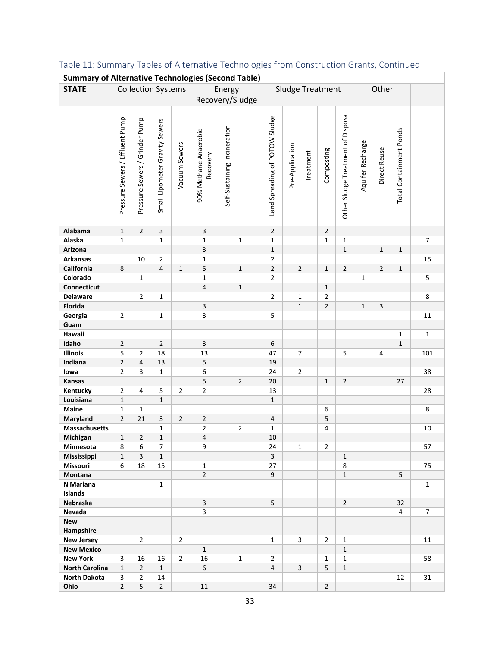| <b>Summary of Alternative Technologies (Second Table)</b> |                                 |                                |                                |                |                                   |                              |                                |                              |                         |                                    |                  |                |                             |                |
|-----------------------------------------------------------|---------------------------------|--------------------------------|--------------------------------|----------------|-----------------------------------|------------------------------|--------------------------------|------------------------------|-------------------------|------------------------------------|------------------|----------------|-----------------------------|----------------|
| <b>STATE</b>                                              |                                 |                                | <b>Collection Systems</b>      |                |                                   | Energy                       |                                | Sludge Treatment             |                         |                                    |                  | Other          |                             |                |
|                                                           |                                 |                                |                                |                |                                   | Recovery/Sludge              |                                |                              |                         |                                    |                  |                |                             |                |
|                                                           |                                 |                                |                                |                |                                   |                              |                                |                              |                         |                                    |                  |                |                             |                |
|                                                           | Pressure Sewers / Effluent Pump | Pressure Sewers / Grinder Pump | Small Lipometer Gravity Sewers | Vacuum Sewers  | 90% Methane Anaerobic<br>Recovery | Self-Sustaining Incineration | Land Spreading of POTOW Sludge | Pre-Application<br>Treatment | Composting              | Other Sludge Treatment of Disposal | Aquifer Recharge | Direct Reuse   | Total Containment Ponds     |                |
| Alabama                                                   | $\mathbf{1}$                    | $\overline{2}$                 | 3                              |                | $\mathsf{3}$                      |                              | $\overline{2}$                 |                              | $\overline{2}$          |                                    |                  |                |                             |                |
| Alaska                                                    | $\mathbf{1}$                    |                                | $\mathbf 1$                    |                | $\mathbf 1$                       | $\mathbf 1$                  | $\mathbf{1}$                   |                              | $\mathbf{1}$            | 1                                  |                  |                |                             | $\overline{7}$ |
| Arizona                                                   |                                 |                                |                                |                | $\overline{\mathbf{3}}$           |                              | $\mathbf{1}$                   |                              |                         | $\mathbf{1}$                       |                  | $\mathbf{1}$   | $1\,$                       |                |
| <b>Arkansas</b>                                           |                                 | 10                             | $\overline{2}$                 |                | $\mathbf 1$                       |                              | $\mathbf 2$                    |                              |                         |                                    |                  |                |                             | 15             |
| California                                                | 8                               |                                | $\overline{\mathbf{4}}$        | $\mathbf{1}$   | 5                                 | $\mathbf 1$                  | $\overline{2}$                 | $\overline{2}$               | $\mathbf{1}$            | $\overline{2}$                     |                  | $\overline{2}$ | $1\,$                       |                |
| Colorado                                                  |                                 | $\mathbf{1}$                   |                                |                | $\mathbf 1$                       |                              | $\overline{2}$                 |                              |                         |                                    | $\mathbf 1$      |                |                             | 5              |
| Connecticut                                               |                                 |                                |                                |                | $\sqrt{4}$                        | $\mathbf 1$                  |                                |                              | $\mathbf{1}$            |                                    |                  |                |                             |                |
| <b>Delaware</b>                                           |                                 | $\overline{2}$                 | $\mathbf 1$                    |                |                                   |                              | $\mathbf 2$                    | $\mathbf 1$                  | $\overline{2}$          |                                    |                  |                |                             | 8              |
| <b>Florida</b>                                            |                                 |                                |                                |                | $\mathsf{3}$                      |                              |                                | $\mathbf{1}$                 | $\overline{2}$          |                                    | $\mathbf{1}$     | 3              |                             |                |
| Georgia                                                   | $\overline{2}$                  |                                | $\mathbf 1$                    |                | $\overline{\mathbf{3}}$           |                              | 5                              |                              |                         |                                    |                  |                |                             | 11             |
| Guam                                                      |                                 |                                |                                |                |                                   |                              |                                |                              |                         |                                    |                  |                |                             |                |
| Hawaii                                                    |                                 |                                | $\overline{2}$                 |                |                                   |                              | 6                              |                              |                         |                                    |                  |                | $\mathbf 1$<br>$\mathbf{1}$ | $\mathbf 1$    |
| Idaho<br>Illinois                                         | $\sqrt{2}$<br>5                 | $\overline{2}$                 | 18                             |                | $\overline{\mathbf{3}}$<br>13     |                              | 47                             | $\overline{7}$               |                         |                                    |                  | 4              |                             | 101            |
| Indiana                                                   | $\mathbf 2$                     | $\overline{4}$                 | 13                             |                | $\mathsf S$                       |                              | 19                             |                              |                         | 5                                  |                  |                |                             |                |
| lowa                                                      | $\overline{2}$                  | 3                              | $\mathbf 1$                    |                | 6                                 |                              | 24                             | $\overline{2}$               |                         |                                    |                  |                |                             | 38             |
| Kansas                                                    |                                 |                                |                                |                | 5                                 | $\overline{2}$               | $20\,$                         |                              | $\mathbf{1}$            | $\overline{2}$                     |                  |                | 27                          |                |
| Kentucky                                                  | $\overline{2}$                  | 4                              | 5                              | $\overline{2}$ | $\overline{2}$                    |                              | 13                             |                              |                         |                                    |                  |                |                             | 28             |
| Louisiana                                                 | $\mathbf{1}$                    |                                | $\mathbf{1}$                   |                |                                   |                              | $\mathbf{1}$                   |                              |                         |                                    |                  |                |                             |                |
| <b>Maine</b>                                              | $\mathbf{1}$                    | 1                              |                                |                |                                   |                              |                                |                              | 6                       |                                    |                  |                |                             | $\,8\,$        |
| Maryland                                                  | $\overline{2}$                  | 21                             | 3                              | $\overline{2}$ | $\overline{2}$                    |                              | 4                              |                              | 5                       |                                    |                  |                |                             |                |
| <b>Massachusetts</b>                                      |                                 |                                | $\mathbf 1$                    |                | $\mathbf 2$                       | $\overline{2}$               | $\mathbf 1$                    |                              | $\overline{\mathbf{4}}$ |                                    |                  |                |                             | 10             |
| Michigan                                                  | $\mathbf{1}$                    | $\overline{2}$                 | $\mathbf{1}$                   |                | $\overline{\mathbf{4}}$           |                              | 10                             |                              |                         |                                    |                  |                |                             |                |
| Minnesota                                                 | 8                               | 6                              | 7                              |                | 9                                 |                              | 24                             | $\mathbf{1}$                 | $\overline{2}$          |                                    |                  |                |                             | 57             |
| Mississippi                                               | $\mathbf{1}$                    | $\overline{3}$                 | $\mathbf{1}$                   |                |                                   |                              | $\overline{3}$                 |                              |                         | $\mathbf{1}$                       |                  |                |                             |                |
| Missouri                                                  | 6                               | 18                             | 15                             |                | $\mathbf{1}$                      |                              | 27                             |                              |                         | 8                                  |                  |                |                             | 75             |
| Montana                                                   |                                 |                                |                                |                | $\overline{2}$                    |                              | 9                              |                              |                         | $\mathbf{1}$                       |                  |                | 5                           |                |
| N Mariana                                                 |                                 |                                | $\mathbf{1}$                   |                |                                   |                              |                                |                              |                         |                                    |                  |                |                             | $\mathbf{1}$   |
| Islands                                                   |                                 |                                |                                |                |                                   |                              |                                |                              |                         |                                    |                  |                |                             |                |
| Nebraska                                                  |                                 |                                |                                |                | 3                                 |                              | 5                              |                              |                         | $\overline{2}$                     |                  |                | 32                          |                |
| Nevada                                                    |                                 |                                |                                |                | 3                                 |                              |                                |                              |                         |                                    |                  |                | 4                           | $\overline{7}$ |
| <b>New</b>                                                |                                 |                                |                                |                |                                   |                              |                                |                              |                         |                                    |                  |                |                             |                |
| Hampshire                                                 |                                 |                                |                                |                |                                   |                              |                                |                              |                         |                                    |                  |                |                             |                |
| <b>New Jersey</b>                                         |                                 | $\overline{2}$                 |                                | $\overline{2}$ |                                   |                              | $\mathbf{1}$                   | 3                            | $\overline{2}$          | $\mathbf{1}$                       |                  |                |                             | 11             |
| <b>New Mexico</b>                                         |                                 |                                |                                |                | $\mathbf{1}$                      |                              |                                |                              |                         | $\mathbf{1}$                       |                  |                |                             |                |
| <b>New York</b>                                           | 3                               | 16                             | 16                             | $\overline{2}$ | 16                                | $\mathbf{1}$                 | $\overline{2}$                 |                              | $\mathbf{1}$            | $\mathbf{1}$                       |                  |                |                             | 58             |
| <b>North Carolina</b>                                     | $\mathbf{1}$                    | $\overline{2}$                 | $\mathbf{1}$                   |                | 6                                 |                              | $\overline{4}$                 | $\overline{\mathbf{3}}$      | 5                       | $\mathbf{1}$                       |                  |                |                             |                |
| North Dakota                                              | 3                               | $\overline{2}$                 | 14                             |                |                                   |                              |                                |                              |                         |                                    |                  |                | 12                          | 31             |
| Ohio                                                      | $\overline{2}$                  | 5                              | $\overline{2}$                 |                | 11                                |                              | 34                             |                              | $\overline{2}$          |                                    |                  |                |                             |                |

# <span id="page-32-0"></span>Table 11: Summary Tables of Alternative Technologies from Construction Grants, Continued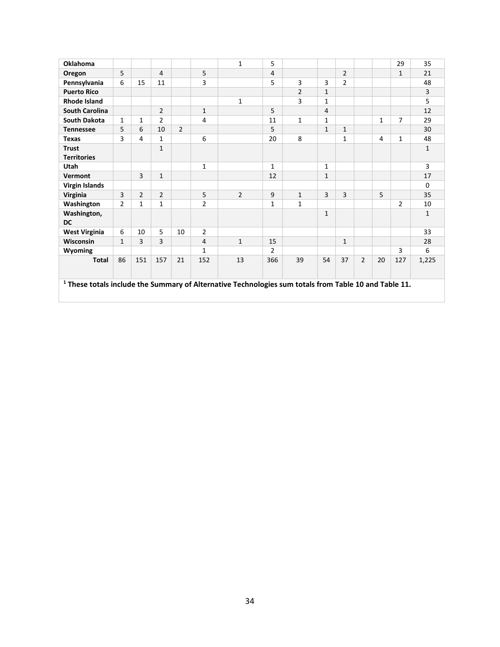| <b>Oklahoma</b>                                                                                                  |                |                |                |                |                | $\mathbf{1}$   | 5              |                |                |                |                |    | 29             | 35           |
|------------------------------------------------------------------------------------------------------------------|----------------|----------------|----------------|----------------|----------------|----------------|----------------|----------------|----------------|----------------|----------------|----|----------------|--------------|
| Oregon                                                                                                           | 5              |                | $\overline{4}$ |                | 5              |                | 4              |                |                | $\overline{2}$ |                |    | $\mathbf{1}$   | 21           |
| Pennsylvania                                                                                                     | 6              | 15             | 11             |                | 3              |                | 5              | 3              | 3              | $\overline{2}$ |                |    |                | 48           |
| <b>Puerto Rico</b>                                                                                               |                |                |                |                |                |                |                | $\overline{2}$ | $\mathbf{1}$   |                |                |    |                | 3            |
| <b>Rhode Island</b>                                                                                              |                |                |                |                |                | $\mathbf{1}$   |                | 3              | $\mathbf{1}$   |                |                |    |                | 5            |
| <b>South Carolina</b>                                                                                            |                |                | $\overline{2}$ |                | $\mathbf{1}$   |                | 5              |                | $\overline{4}$ |                |                |    |                | 12           |
| <b>South Dakota</b>                                                                                              | $\mathbf{1}$   | $\mathbf{1}$   | $\overline{2}$ |                | 4              |                | 11             | $\mathbf{1}$   | 1              |                |                | 1  | 7              | 29           |
| <b>Tennessee</b>                                                                                                 | 5              | 6              | 10             | $\overline{2}$ |                |                | 5              |                | $\mathbf{1}$   | $\mathbf{1}$   |                |    |                | 30           |
| <b>Texas</b>                                                                                                     | 3              | 4              | $\mathbf{1}$   |                | 6              |                | 20             | 8              |                | $\mathbf{1}$   |                | 4  | $\mathbf{1}$   | 48           |
| <b>Trust</b>                                                                                                     |                |                | $\mathbf{1}$   |                |                |                |                |                |                |                |                |    |                | $\mathbf{1}$ |
| <b>Territories</b>                                                                                               |                |                |                |                |                |                |                |                |                |                |                |    |                |              |
| Utah                                                                                                             |                |                |                |                | 1              |                | $\mathbf{1}$   |                | 1              |                |                |    |                | 3            |
| Vermont                                                                                                          |                | 3              | $\mathbf{1}$   |                |                |                | 12             |                | $\mathbf{1}$   |                |                |    |                | 17           |
| <b>Virgin Islands</b>                                                                                            |                |                |                |                |                |                |                |                |                |                |                |    |                | $\Omega$     |
| Virginia                                                                                                         | 3              | $\overline{2}$ | $\overline{2}$ |                | 5              | $\overline{2}$ | 9              | $\mathbf{1}$   | $\overline{3}$ | 3              |                | 5  |                | 35           |
| Washington                                                                                                       | $\overline{2}$ | $\mathbf{1}$   | $\mathbf{1}$   |                | $\overline{2}$ |                | $\mathbf{1}$   | $\mathbf{1}$   |                |                |                |    | $\overline{2}$ | 10           |
| Washington,                                                                                                      |                |                |                |                |                |                |                |                | $\mathbf{1}$   |                |                |    |                | $\mathbf{1}$ |
| <b>DC</b>                                                                                                        |                |                |                |                |                |                |                |                |                |                |                |    |                |              |
| <b>West Virginia</b>                                                                                             | 6              | 10             | 5              | 10             | $\overline{2}$ |                |                |                |                |                |                |    |                | 33           |
| Wisconsin                                                                                                        | $\mathbf{1}$   | 3              | $\overline{3}$ |                | $\overline{4}$ | $\mathbf{1}$   | 15             |                |                | $\mathbf{1}$   |                |    |                | 28           |
| Wyoming                                                                                                          |                |                |                |                | $\mathbf{1}$   |                | $\overline{2}$ |                |                |                |                |    | 3              | 6            |
| <b>Total</b>                                                                                                     | 86             | 151            | 157            | 21             | 152            | 13             | 366            | 39             | 54             | 37             | $\overline{2}$ | 20 | 127            | 1,225        |
| <sup>1</sup> These totals include the Summary of Alternative Technologies sum totals from Table 10 and Table 11. |                |                |                |                |                |                |                |                |                |                |                |    |                |              |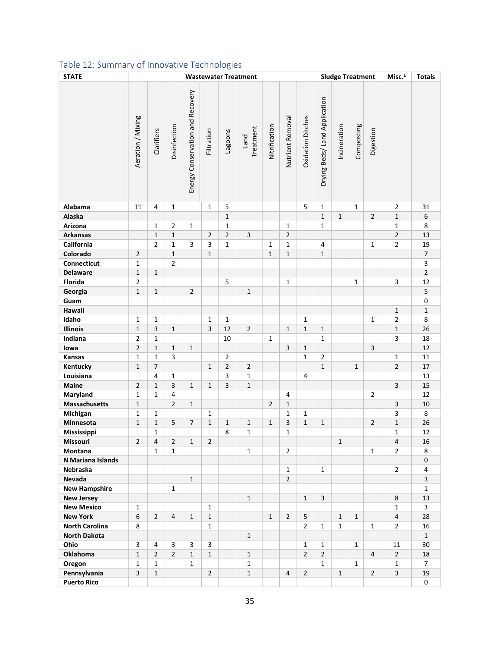# Table 12: Summary of Innovative Technologies

| <b>STATE</b>          | <b>Sludge Treatment</b><br><b>Wastewater Treatment</b> |                |                |                                  |                |                |                   |                |                  |                          |                               |              | Misc. <sup>1</sup> | <b>Totals</b>  |                         |                |
|-----------------------|--------------------------------------------------------|----------------|----------------|----------------------------------|----------------|----------------|-------------------|----------------|------------------|--------------------------|-------------------------------|--------------|--------------------|----------------|-------------------------|----------------|
|                       | Aeration / Mixing                                      | Clarifiers     | Disinfection   | Energy Conservation and Recovery | Filtration     | cagoons        | Treatment<br>Land | Nitrification  | Nutrient Removal | <b>Oxidation Ditches</b> | Drying Beds/ Land Application | Incineration | Composting         | Digestion      |                         |                |
| Alabama               | 11                                                     | 4              | 1              |                                  | $\mathbf{1}$   | 5              |                   |                |                  | 5                        | $\mathbf{1}$                  |              | $\mathbf{1}$       |                | $\overline{2}$          | 31             |
| Alaska                |                                                        |                |                |                                  |                | $\mathbf{1}$   |                   |                |                  |                          | $\mathbf{1}$                  | $\mathbf{1}$ |                    | $\overline{2}$ | $\mathbf{1}$            | 6              |
| Arizona               |                                                        | 1              | $\overline{2}$ | 1                                |                | $\mathbf{1}$   |                   |                | $\mathbf{1}$     |                          | $\mathbf{1}$                  |              |                    |                | $\mathbf{1}$            | 8              |
| <b>Arkansas</b>       |                                                        | $\mathbf{1}$   | $\mathbf{1}$   |                                  | $\overline{2}$ | $\overline{2}$ | 3                 |                | $\overline{2}$   |                          |                               |              |                    |                | $\overline{2}$          | 13             |
| California            |                                                        | $\overline{2}$ | $\mathbf{1}$   | 3                                | 3              | $\mathbf{1}$   |                   | $\mathbf{1}$   | $\mathbf{1}$     |                          | $\overline{\mathbf{4}}$       |              |                    | $\mathbf{1}$   | $\mathbf{2}$            | 19             |
| Colorado              | $\overline{2}$                                         |                | $\mathbf{1}$   |                                  | $\mathbf{1}$   |                |                   | $\mathbf{1}$   | $1\,$            |                          | $\mathbf{1}$                  |              |                    |                |                         | $\overline{7}$ |
| Connecticut           | $\mathbf{1}$                                           |                | $\overline{2}$ |                                  |                |                |                   |                |                  |                          |                               |              |                    |                |                         | 3              |
| <b>Delaware</b>       | $\mathbf{1}$                                           | $\mathbf{1}$   |                |                                  |                |                |                   |                |                  |                          |                               |              |                    |                |                         | $\overline{2}$ |
| Florida               | $\overline{2}$                                         |                |                |                                  |                | 5              |                   |                | $\mathbf{1}$     |                          |                               |              | $\mathbf{1}$       |                | 3                       | 12             |
| Georgia               | $\mathbf{1}$                                           | $\mathbf{1}$   |                | $\overline{2}$                   |                |                | $\mathbf{1}$      |                |                  |                          |                               |              |                    |                |                         | 5              |
| Guam                  |                                                        |                |                |                                  |                |                |                   |                |                  |                          |                               |              |                    |                |                         | 0              |
| Hawaii                |                                                        |                |                |                                  |                |                |                   |                |                  |                          |                               |              |                    |                | $\mathbf 1$             | $\mathbf{1}$   |
| Idaho                 | 1                                                      | $\mathbf{1}$   |                |                                  | $\mathbf{1}$   | $\mathbf{1}$   |                   |                |                  | $\mathbf{1}$             |                               |              |                    | $\mathbf{1}$   | $\overline{2}$          | 8              |
| Illinois              | $\mathbf{1}$                                           | 3              | $\mathbf{1}$   |                                  | 3              | 12             | $\overline{2}$    |                | $\mathbf{1}$     | $\mathbf{1}$             | $\mathbf{1}$                  |              |                    |                | $\mathbf 1$             | 26             |
| Indiana               | 2                                                      | $\mathbf{1}$   |                |                                  |                | 10             |                   | $\mathbf{1}$   |                  |                          | $\mathbf{1}$                  |              |                    |                | 3                       | 18             |
| lowa                  | $\overline{2}$                                         | $\mathbf{1}$   | $\mathbf{1}$   | $\mathbf 1$                      |                |                |                   |                | 3                | $\mathbf{1}$             |                               |              |                    | $\overline{3}$ |                         | 12             |
| Kansas                | 1                                                      | $\mathbf{1}$   | 3              |                                  |                | $\overline{2}$ |                   |                |                  | $\mathbf{1}$             | $\overline{2}$                |              |                    |                | 1                       | 11             |
| Kentucky              | $\mathbf{1}$                                           | $\overline{7}$ |                |                                  | $\mathbf{1}$   | $\overline{2}$ | $\overline{2}$    |                |                  |                          | $\mathbf 1$                   |              | $\mathbf{1}$       |                | $\overline{2}$          | $17\,$         |
| Louisiana             |                                                        | 4              | $\mathbf{1}$   |                                  |                | 3              | 1                 |                |                  | 4                        |                               |              |                    |                |                         | 13             |
| Maine                 | $\overline{2}$                                         | $\mathbf{1}$   | $\overline{3}$ | $\mathbf{1}$                     | $\mathbf{1}$   | 3              | $\mathbf{1}$      |                |                  |                          |                               |              |                    |                | 3                       | 15             |
| Maryland              | $\mathbf{1}$                                           | $\mathbf{1}$   | 4              |                                  |                |                |                   |                | 4                |                          |                               |              |                    | $\overline{2}$ |                         | 12             |
| <b>Massachusetts</b>  | $\mathbf{1}$                                           |                | $\overline{2}$ | $\mathbf{1}$                     |                |                |                   | $\overline{2}$ | $\mathbf{1}$     |                          |                               |              |                    |                | $\overline{\mathbf{3}}$ | $10\,$         |
| Michigan              | 1                                                      | $\mathbf{1}$   |                |                                  | $\mathbf{1}$   |                |                   |                | $\mathbf{1}$     | $\mathbf{1}$             |                               |              |                    |                | 3                       | 8              |
| Minnesota             | $\mathbf{1}$                                           | $\mathbf 1$    | 5              | $\overline{7}$                   | $\mathbf{1}$   | $\mathbf{1}$   | $\mathbf{1}$      | $\mathbf{1}$   | 3                | $\mathbf{1}$             | $1\,$                         |              |                    | $\overline{2}$ | $\mathbf 1$             | 26             |
| Mississippi           |                                                        | $\mathbf{1}$   |                |                                  |                | 8              | $\mathbf 1$       |                | $\mathbf{1}$     |                          |                               |              |                    |                | $\mathbf 1$             | 12             |
| Missouri              | $\overline{2}$                                         | 4              | $\overline{2}$ | $1\,$                            | $\overline{2}$ |                |                   |                |                  |                          |                               | $\mathbf 1$  |                    |                | $\overline{4}$          | 16             |
| Montana               |                                                        | $\mathbf{1}$   | $\mathbf{1}$   |                                  |                |                | $\mathbf{1}$      |                | $\overline{2}$   |                          |                               |              |                    | 1              | $\overline{2}$          | 8              |
| N Mariana Islands     |                                                        |                |                |                                  |                |                |                   |                |                  |                          |                               |              |                    |                |                         | 0              |
| Nebraska              |                                                        |                |                |                                  |                |                |                   |                | $\mathbf{1}$     |                          | $\mathbf{1}$                  |              |                    |                | $\overline{2}$          | 4              |
| Nevada                |                                                        |                |                | $\mathbf{1}$                     |                |                |                   |                | $\overline{2}$   |                          |                               |              |                    |                |                         | 3              |
| <b>New Hampshire</b>  |                                                        |                | $\mathbf{1}$   |                                  |                |                |                   |                |                  |                          |                               |              |                    |                |                         | 1              |
| <b>New Jersey</b>     |                                                        |                |                |                                  |                |                | $\mathbf{1}$      |                |                  | $\mathbf{1}$             | 3                             |              |                    |                | 8                       | 13             |
| <b>New Mexico</b>     | $\mathbf{1}$                                           |                |                |                                  | $\mathbf{1}$   |                |                   |                |                  |                          |                               |              |                    |                | $\mathbf{1}$            | 3              |
| <b>New York</b>       | 6                                                      | $\overline{2}$ | 4              | 1                                | $\mathbf{1}$   |                |                   | $\mathbf{1}$   | $\overline{2}$   | 5                        |                               | $\mathbf{1}$ | $\mathbf{1}$       |                | $\overline{4}$          | 28             |
| <b>North Carolina</b> | 8                                                      |                |                |                                  | $\mathbf{1}$   |                |                   |                |                  | $\overline{2}$           | $\mathbf{1}$                  | $\mathbf{1}$ |                    | $\mathbf{1}$   | $\overline{2}$          | 16             |
| <b>North Dakota</b>   |                                                        |                |                |                                  |                |                | $\mathbf{1}$      |                |                  |                          |                               |              |                    |                |                         | $\mathbf{1}$   |
| Ohio                  | 3                                                      | 4              | 3              | 3                                | 3              |                |                   |                |                  | $\mathbf{1}$             | $\mathbf{1}$                  |              | $\mathbf{1}$       |                | 11                      | 30             |
| <b>Oklahoma</b>       | $\mathbf{1}$                                           | $\overline{2}$ | $\overline{2}$ | 1                                | $\mathbf{1}$   |                | $\mathbf{1}$      |                |                  | $\overline{2}$           | $\overline{2}$                |              |                    | 4              | $\overline{2}$          | 18             |
| Oregon                | 1                                                      | 1              |                | 1                                |                |                | 1                 |                |                  |                          | $\mathbf{1}$                  |              | $\mathbf{1}$       |                | 1                       | 7              |
| Pennsylvania          | 3                                                      | $\mathbf{1}$   |                |                                  | $\overline{2}$ |                | $\mathbf{1}$      |                | $\overline{4}$   | $\overline{2}$           |                               | $\mathbf{1}$ |                    | $\overline{2}$ | 3                       | 19             |
| <b>Puerto Rico</b>    |                                                        |                |                |                                  |                |                |                   |                |                  |                          |                               |              |                    |                |                         | 0              |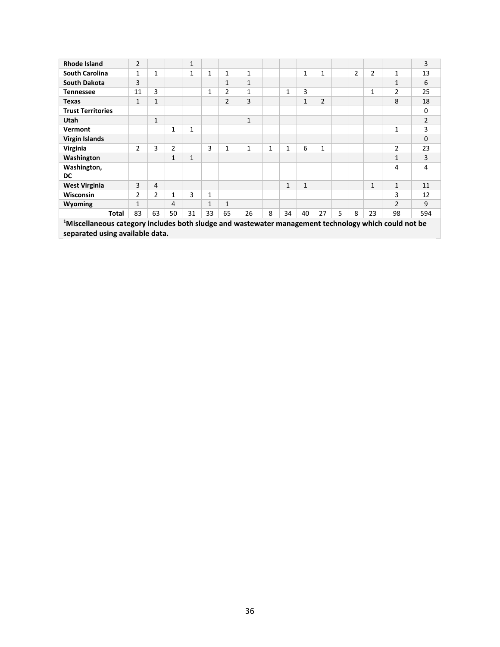| <b>Rhode Island</b>                                                                                              | $\overline{2}$ |                |              | 1            |    |                |    |   |              |              |                |   |                |              |                | 3              |
|------------------------------------------------------------------------------------------------------------------|----------------|----------------|--------------|--------------|----|----------------|----|---|--------------|--------------|----------------|---|----------------|--------------|----------------|----------------|
| <b>South Carolina</b>                                                                                            | 1              | 1              |              | 1            | 1  | 1              | 1  |   |              | $\mathbf{1}$ | $\mathbf{1}$   |   | $\overline{2}$ | 2            | 1              | 13             |
| <b>South Dakota</b>                                                                                              | 3              |                |              |              |    | $\mathbf{1}$   | 1  |   |              |              |                |   |                |              | 1              | 6              |
| <b>Tennessee</b>                                                                                                 | 11             | 3              |              |              | 1  | $\overline{2}$ | 1  |   | $\mathbf{1}$ | 3            |                |   |                | 1            | $\overline{2}$ | 25             |
| Texas                                                                                                            | $\mathbf{1}$   | 1              |              |              |    | $\overline{2}$ | 3  |   |              | $\mathbf{1}$ | $\overline{2}$ |   |                |              | 8              | 18             |
| <b>Trust Territories</b>                                                                                         |                |                |              |              |    |                |    |   |              |              |                |   |                |              |                | $\mathbf 0$    |
| Utah                                                                                                             |                | $\mathbf{1}$   |              |              |    |                | 1  |   |              |              |                |   |                |              |                | $\overline{2}$ |
| Vermont                                                                                                          |                |                | $\mathbf{1}$ | $\mathbf{1}$ |    |                |    |   |              |              |                |   |                |              | 1              | 3              |
| <b>Virgin Islands</b>                                                                                            |                |                |              |              |    |                |    |   |              |              |                |   |                |              |                | $\mathbf 0$    |
| Virginia                                                                                                         | $\overline{2}$ | 3              | 2            |              | 3  | 1              | 1  | 1 | 1            | 6            | 1              |   |                |              | $\overline{2}$ | 23             |
| Washington                                                                                                       |                |                | $\mathbf{1}$ | 1            |    |                |    |   |              |              |                |   |                |              | 1              | 3              |
| Washington,                                                                                                      |                |                |              |              |    |                |    |   |              |              |                |   |                |              | 4              | 4              |
| <b>DC</b>                                                                                                        |                |                |              |              |    |                |    |   |              |              |                |   |                |              |                |                |
| <b>West Virginia</b>                                                                                             | 3              | 4              |              |              |    |                |    |   | $\mathbf{1}$ | $\mathbf{1}$ |                |   |                | $\mathbf{1}$ | 1              | 11             |
| <b>Wisconsin</b>                                                                                                 | $\overline{2}$ | $\overline{2}$ | 1            | 3            | 1  |                |    |   |              |              |                |   |                |              | 3              | 12             |
| Wyoming                                                                                                          | $\mathbf{1}$   |                | 4            |              | 1  | $\mathbf{1}$   |    |   |              |              |                |   |                |              | $\mathfrak{p}$ | 9              |
| Total                                                                                                            | 83             | 63             | 50           | 31           | 33 | 65             | 26 | 8 | 34           | 40           | 27             | 5 | 8              | 23           | 98             | 594            |
| <sup>1</sup> Miscellaneous category includes both sludge and wastewater management technology which could not be |                |                |              |              |    |                |    |   |              |              |                |   |                |              |                |                |
| separated using available data.                                                                                  |                |                |              |              |    |                |    |   |              |              |                |   |                |              |                |                |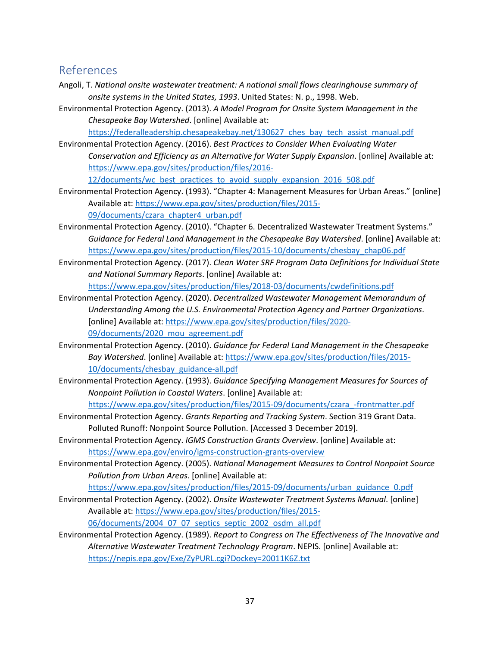# <span id="page-36-0"></span>References

- Angoli, T. *National onsite wastewater treatment: A national small flows clearinghouse summary of onsite systems in the United States, 1993*. United States: N. p., 1998. Web.
- Environmental Protection Agency. (2013). *A Model Program for Onsite System Management in the Chesapeake Bay Watershed*. [online] Available at:

https://federalleadership.chesapeakebay.net/130627 ches bay tech assist manual.pdf

Environmental Protection Agency. (2016). *Best Practices to Consider When Evaluating Water Conservation and Efficiency as an Alternative for Water Supply Expansion*. [online] Available at: [https://www.epa.gov/sites/production/files/2016-](https://www.epa.gov/sites/production/files/2016-12/documents/wc_best_practices_to_avoid_supply_expansion_2016_508.pdf)

[12/documents/wc\\_best\\_practices\\_to\\_avoid\\_supply\\_expansion\\_2016\\_508.pdf](https://www.epa.gov/sites/production/files/2016-12/documents/wc_best_practices_to_avoid_supply_expansion_2016_508.pdf)

Environmental Protection Agency. (1993). "Chapter 4: Management Measures for Urban Areas." [online] Available at[: https://www.epa.gov/sites/production/files/2015-](https://www.epa.gov/sites/production/files/2015-09/documents/czara_chapter4_urban.pdf)

[09/documents/czara\\_chapter4\\_urban.pdf](https://www.epa.gov/sites/production/files/2015-09/documents/czara_chapter4_urban.pdf)

- Environmental Protection Agency. (2010). "Chapter 6. Decentralized Wastewater Treatment Systems." *Guidance for Federal Land Management in the Chesapeake Bay Watershed*. [online] Available at: [https://www.epa.gov/sites/production/files/2015-10/documents/chesbay\\_chap06.pdf](https://www.epa.gov/sites/production/files/2015-10/documents/chesbay_chap06.pdf)
- Environmental Protection Agency. (2017). *Clean Water SRF Program Data Definitions for Individual State and National Summary Reports*. [online] Available at:

<https://www.epa.gov/sites/production/files/2018-03/documents/cwdefinitions.pdf>

- Environmental Protection Agency. (2020). *Decentralized Wastewater Management Memorandum of Understanding Among the U.S. Environmental Protection Agency and Partner Organizations*. [online] Available at[: https://www.epa.gov/sites/production/files/2020-](https://www.epa.gov/sites/production/files/2020-09/documents/2020_mou_agreement.pdf) 09/documents/2020 mou agreement.pdf
- Environmental Protection Agency. (2010). *Guidance for Federal Land Management in the Chesapeake Bay Watershed*. [online] Available at: [https://www.epa.gov/sites/production/files/2015-](https://www.epa.gov/sites/production/files/2015-10/documents/chesbay_guidance-all.pdf) [10/documents/chesbay\\_guidance-all.pdf](https://www.epa.gov/sites/production/files/2015-10/documents/chesbay_guidance-all.pdf)
- Environmental Protection Agency. (1993). *Guidance Specifying Management Measures for Sources of Nonpoint Pollution in Coastal Waters*. [online] Available at:

[https://www.epa.gov/sites/production/files/2015-09/documents/czara\\_-frontmatter.pdf](https://www.epa.gov/sites/production/files/2015-09/documents/czara_-frontmatter.pdf)

- Environmental Protection Agency. *Grants Reporting and Tracking System*. Section 319 Grant Data. Polluted Runoff: Nonpoint Source Pollution. [Accessed 3 December 2019].
- Environmental Protection Agency. *IGMS Construction Grants Overview*. [online] Available at: <https://www.epa.gov/enviro/igms-construction-grants-overview>
- Environmental Protection Agency. (2005). *National Management Measures to Control Nonpoint Source Pollution from Urban Areas*. [online] Available at:

[https://www.epa.gov/sites/production/files/2015-09/documents/urban\\_guidance\\_0.pdf](https://www.epa.gov/sites/production/files/2015-09/documents/urban_guidance_0.pdf)

- Environmental Protection Agency. (2002). *Onsite Wastewater Treatment Systems Manual*. [online] Available at[: https://www.epa.gov/sites/production/files/2015-](https://www.epa.gov/sites/production/files/2015-06/documents/2004_07_07_septics_septic_2002_osdm_all.pdf) [06/documents/2004\\_07\\_07\\_septics\\_septic\\_2002\\_osdm\\_all.pdf](https://www.epa.gov/sites/production/files/2015-06/documents/2004_07_07_septics_septic_2002_osdm_all.pdf)
- Environmental Protection Agency. (1989). *Report to Congress on The Effectiveness of The Innovative and Alternative Wastewater Treatment Technology Program*. NEPIS. [online] Available at: <https://nepis.epa.gov/Exe/ZyPURL.cgi?Dockey=20011K6Z.txt>